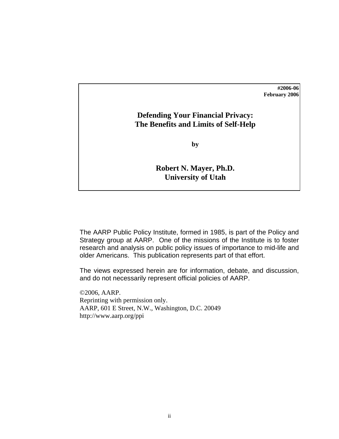## **#2006-06 February 2006**

## **Defending Your Financial Privacy: The Benefits and Limits of Self-Help**

**by** 

## **Robert N. Mayer, Ph.D. University of Utah**

The AARP Public Policy Institute, formed in 1985, is part of the Policy and Strategy group at AARP. One of the missions of the Institute is to foster research and analysis on public policy issues of importance to mid-life and older Americans. This publication represents part of that effort.

The views expressed herein are for information, debate, and discussion, and do not necessarily represent official policies of AARP.

©2006, AARP. Reprinting with permission only. AARP, 601 E Street, N.W., Washington, D.C. 20049 http://www.aarp.org/ppi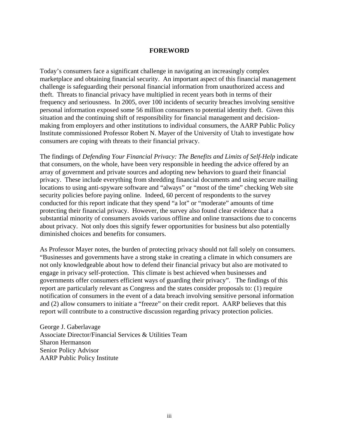### **FOREWORD**

<span id="page-1-0"></span>Today's consumers face a significant challenge in navigating an increasingly complex marketplace and obtaining financial security. An important aspect of this financial management challenge is safeguarding their personal financial information from unauthorized access and theft. Threats to financial privacy have multiplied in recent years both in terms of their frequency and seriousness. In 2005, over 100 incidents of security breaches involving sensitive personal information exposed some 56 million consumers to potential identity theft. Given this situation and the continuing shift of responsibility for financial management and decisionmaking from employers and other institutions to individual consumers, the AARP Public Policy Institute commissioned Professor Robert N. Mayer of the University of Utah to investigate how consumers are coping with threats to their financial privacy.

The findings of *Defending Your Financial Privacy: The Benefits and Limits of Self-Help* indicate that consumers, on the whole, have been very responsible in heeding the advice offered by an array of government and private sources and adopting new behaviors to guard their financial privacy. These include everything from shredding financial documents and using secure mailing locations to using anti-spyware software and "always" or "most of the time" checking Web site security policies before paying online. Indeed, 60 percent of respondents to the survey conducted for this report indicate that they spend "a lot" or "moderate" amounts of time protecting their financial privacy. However, the survey also found clear evidence that a substantial minority of consumers avoids various offline and online transactions due to concerns about privacy. Not only does this signify fewer opportunities for business but also potentially diminished choices and benefits for consumers.

As Professor Mayer notes, the burden of protecting privacy should not fall solely on consumers. "Businesses and governments have a strong stake in creating a climate in which consumers are not only knowledgeable about how to defend their financial privacy but also are motivated to engage in privacy self-protection. This climate is best achieved when businesses and governments offer consumers efficient ways of guarding their privacy". The findings of this report are particularly relevant as Congress and the states consider proposals to: (1) require notification of consumers in the event of a data breach involving sensitive personal information and (2) allow consumers to initiate a "freeze" on their credit report. AARP believes that this report will contribute to a constructive discussion regarding privacy protection policies.

George J. Gaberlavage Associate Director/Financial Services & Utilities Team Sharon Hermanson Senior Policy Advisor AARP Public Policy Institute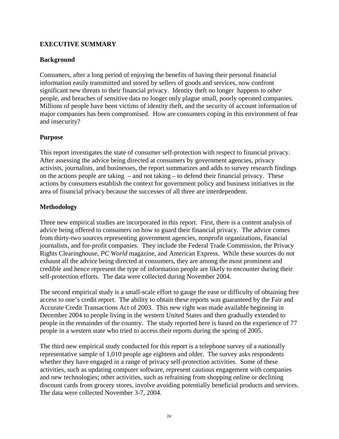## <span id="page-2-0"></span>**EXECUTIVE SUMMARY**

## **Background**

Consumers, after a long period of enjoying the benefits of having their personal financial information easily transmitted and stored by sellers of goods and services, now confront significant new threats to their financial privacy. Identity theft no longer happens to *other* people, and breaches of sensitive data no longer only plague small, poorly operated companies. Millions of people have been victims of identity theft, and the security of account information of major companies has been compromised. How are consumers coping in this environment of fear and insecurity?

## **Purpose**

This report investigates the state of consumer self-protection with respect to financial privacy. After assessing the advice being directed at consumers by government agencies, privacy activists, journalists, and businesses, the report summarizes and adds to survey research findings on the actions people are taking – and not taking – to defend their financial privacy. These actions by consumers establish the context for government policy and business initiatives in the area of financial privacy because the successes of all three are interdependent.

## **Methodology**

Three new empirical studies are incorporated in this report. First, there is a content analysis of advice being offered to consumers on how to guard their financial privacy. The advice comes from thirty-two sources representing government agencies, nonprofit organizations, financial journalists, and for-profit companies. They include the Federal Trade Commission, the Privacy Rights Clearinghouse, *PC World* magazine, and American Express. While these sources do not exhaust all the advice being directed at consumers, they are among the most prominent and credible and hence represent the type of information people are likely to encounter during their self-protection efforts. The data were collected during November 2004.

The second empirical study is a small-scale effort to gauge the ease or difficulty of obtaining free access to one's credit report. The ability to obtain these reports was guaranteed by the Fair and Accurate Credit Transactions Act of 2003. This new right was made available beginning in December 2004 to people living in the western United States and then gradually extended to people in the remainder of the country. The study reported here is based on the experience of 77 people in a western state who tried to access their reports during the spring of 2005.

The third new empirical study conducted for this report is a telephone survey of a nationally representative sample of 1,010 people age eighteen and older. The survey asks respondents whether they have engaged in a range of privacy self-protection activities. Some of these activities, such as updating computer software, represent cautious engagement with companies and new technologies; other activities, such as refraining from shopping online or declining discount cards from grocery stores, involve avoiding potentially beneficial products and services. The data were collected November 3-7, 2004.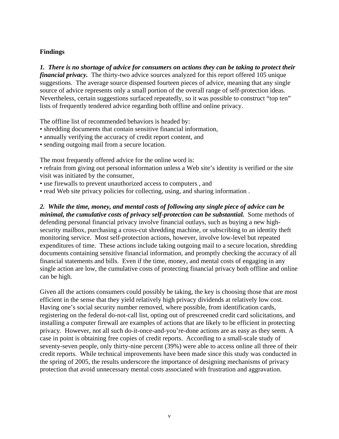## **Findings**

*1. There is no shortage of advice for consumers on actions they can be taking to protect their financial privacy.* The thirty-two advice sources analyzed for this report offered 105 unique suggestions. The average source dispensed fourteen pieces of advice, meaning that any single source of advice represents only a small portion of the overall range of self-protection ideas. Nevertheless, certain suggestions surfaced repeatedly, so it was possible to construct "top ten" lists of frequently tendered advice regarding both offline and online privacy.

The offline list of recommended behaviors is headed by:

- shredding documents that contain sensitive financial information,
- annually verifying the accuracy of credit report content, and
- sending outgoing mail from a secure location.

The most frequently offered advice for the online word is:

- refrain from giving out personal information unless a Web site's identity is verified or the site visit was initiated by the consumer,
- use firewalls to prevent unauthorized access to computers , and
- read Web site privacy policies for collecting, using, and sharing information .

*2. While the time, money, and mental costs of following any single piece of advice can be minimal, the cumulative costs of privacy self-protection can be substantial.* Some methods of defending personal financial privacy involve financial outlays, such as buying a new highsecurity mailbox, purchasing a cross-cut shredding machine, or subscribing to an identity theft monitoring service. Most self-protection actions, however, involve low-level but repeated expenditures of time. These actions include taking outgoing mail to a secure location, shredding documents containing sensitive financial information, and promptly checking the accuracy of all financial statements and bills. Even if the time, money, and mental costs of engaging in any single action are low, the cumulative costs of protecting financial privacy both offline and online can be high.

Given all the actions consumers could possibly be taking, the key is choosing those that are most efficient in the sense that they yield relatively high privacy dividends at relatively low cost. Having one's social security number removed, where possible, from identification cards, registering on the federal do-not-call list, opting out of prescreened credit card solicitations, and installing a computer firewall are examples of actions that are likely to be efficient in protecting privacy. However, not all such do-it-once-and-you're-done actions are as easy as they seem. A case in point is obtaining free copies of credit reports. According to a small-scale study of seventy-seven people, only thirty-nine percent (39%) were able to access online all three of their credit reports. While technical improvements have been made since this study was conducted in the spring of 2005, the results underscore the importance of designing mechanisms of privacy protection that avoid unnecessary mental costs associated with frustration and aggravation.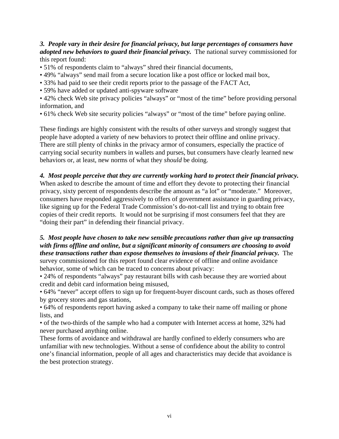*3. People vary in their desire for financial privacy, but large percentages of consumers have adopted new behaviors to guard their financial privacy.* The national survey commissioned for this report found:

- 51% of respondents claim to "always" shred their financial documents,
- 49% "always" send mail from a secure location like a post office or locked mail box,
- 33% had paid to see their credit reports prior to the passage of the FACT Act,
- 59% have added or updated anti-spyware software

• 42% check Web site privacy policies "always" or "most of the time" before providing personal information, and

• 61% check Web site security policies "always" or "most of the time" before paying online.

These findings are highly consistent with the results of other surveys and strongly suggest that people have adopted a variety of new behaviors to protect their offline and online privacy. There are still plenty of chinks in the privacy armor of consumers, especially the practice of carrying social security numbers in wallets and purses, but consumers have clearly learned new behaviors or, at least, new norms of what they *should* be doing.

## *4. Most people perceive that they are currently working hard to protect their financial privacy.*

When asked to describe the amount of time and effort they devote to protecting their financial privacy, sixty percent of respondents describe the amount as "a lot" or "moderate." Moreover, consumers have responded aggressively to offers of government assistance in guarding privacy, like signing up for the Federal Trade Commission's do-not-call list and trying to obtain free copies of their credit reports. It would not be surprising if most consumers feel that they are "doing their part" in defending their financial privacy.

## *5. Most people have chosen to take new sensible precautions rather than give up transacting with firms offline and online, but a significant minority of consumers are choosing to avoid these transactions rather than expose themselves to invasions of their financial privacy.* The survey commissioned for this report found clear evidence of offline and online avoidance

behavior, some of which can be traced to concerns about privacy:

• 24% of respondents "always" pay restaurant bills with cash because they are worried about credit and debit card information being misused,

• 64% "never" accept offers to sign up for frequent-buyer discount cards, such as thoses offered by grocery stores and gas stations,

• 64% of respondents report having asked a company to take their name off mailing or phone lists, and

• of the two-thirds of the sample who had a computer with Internet access at home, 32% had never purchased anything online.

These forms of avoidance and withdrawal are hardly confined to elderly consumers who are unfamiliar with new technologies. Without a sense of confidence about the ability to control one's financial information, people of all ages and characteristics may decide that avoidance is the best protection strategy.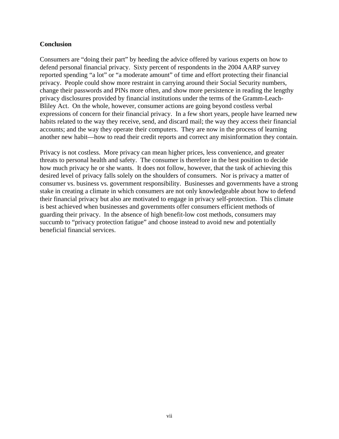## **Conclusion**

Consumers are "doing their part" by heeding the advice offered by various experts on how to defend personal financial privacy. Sixty percent of respondents in the 2004 AARP survey reported spending "a lot" or "a moderate amount" of time and effort protecting their financial privacy. People could show more restraint in carrying around their Social Security numbers, change their passwords and PINs more often, and show more persistence in reading the lengthy privacy disclosures provided by financial institutions under the terms of the Gramm-Leach-Bliley Act. On the whole, however, consumer actions are going beyond costless verbal expressions of concern for their financial privacy. In a few short years, people have learned new habits related to the way they receive, send, and discard mail; the way they access their financial accounts; and the way they operate their computers. They are now in the process of learning another new habit—how to read their credit reports and correct any misinformation they contain.

Privacy is not costless. More privacy can mean higher prices, less convenience, and greater threats to personal health and safety. The consumer is therefore in the best position to decide how much privacy he or she wants. It does not follow, however, that the task of achieving this desired level of privacy falls solely on the shoulders of consumers. Nor is privacy a matter of consumer vs. business vs. government responsibility. Businesses and governments have a strong stake in creating a climate in which consumers are not only knowledgeable about how to defend their financial privacy but also are motivated to engage in privacy self-protection. This climate is best achieved when businesses and governments offer consumers efficient methods of guarding their privacy. In the absence of high benefit-low cost methods, consumers may succumb to "privacy protection fatigue" and choose instead to avoid new and potentially beneficial financial services.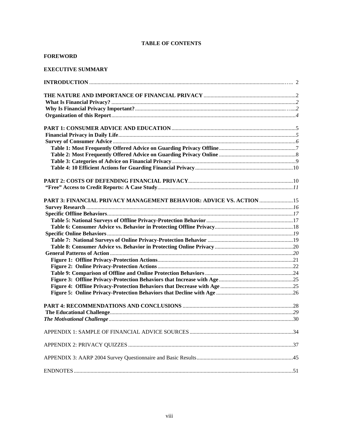### **TABLE OF CONTENTS**

### **FOREWORD**

### **EXECUTIVE SUMMARY**

| PART 3: FINANCIAL PRIVACY MANAGEMENT BEHAVIOR: ADVICE VS. ACTION  15 |  |
|----------------------------------------------------------------------|--|
|                                                                      |  |
|                                                                      |  |
|                                                                      |  |
|                                                                      |  |
|                                                                      |  |
|                                                                      |  |
|                                                                      |  |
|                                                                      |  |
|                                                                      |  |
|                                                                      |  |
|                                                                      |  |
|                                                                      |  |
|                                                                      |  |
|                                                                      |  |
|                                                                      |  |
|                                                                      |  |
|                                                                      |  |
|                                                                      |  |
|                                                                      |  |
|                                                                      |  |
|                                                                      |  |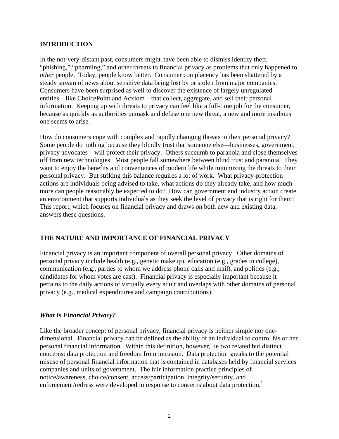## <span id="page-7-0"></span>**INTRODUCTION**

In the not-very-distant past, consumers might have been able to dismiss identity theft, "phishing," "pharming," and other threats to financial privacy as problems that only happened to *other* people. Today, people know better. Consumer complacency has been shattered by a steady stream of news about sensitive data being lost by or stolen from major companies. Consumers have been surprised as well to discover the existence of largely unregulated entities—like ChoicePoint and Acxiom—that collect, aggregate, and sell their personal information. Keeping up with threats to privacy can feel like a full-time job for the consumer, because as quickly as authorities unmask and defuse one new threat, a new and more insidious one seems to arise.

How do consumers cope with complex and rapidly changing threats to their personal privacy? Some people do nothing because they blindly trust that someone else—businesses, government, privacy advocates—will protect their privacy. Others succumb to paranoia and close themselves off from new technologies. Most people fall somewhere between blind trust and paranoia. They want to enjoy the benefits and conveniences of modern life while minimizing the threats to their personal privacy. But striking this balance requires a lot of work. What privacy-protection actions are individuals being advised to take, what actions do they already take, and how much more can people reasonably be expected to do? How can government and industry action create an environment that supports individuals as they seek the level of privacy that is right for them? This report, which focuses on financial privacy and draws on both new and existing data, answers these questions.

## **THE NATURE AND IMPORTANCE OF FINANCIAL PRIVACY**

Financial privacy is an important component of overall personal privacy. Other domains of personal privacy include health (e.g., genetic makeup), education (e.g., grades in college), communication (e.g., parties to whom we address phone calls and mail), and politics (e.g., candidates for whom votes are cast). Financial privacy is especially important because it pertains to the daily actions of virtually every adult and overlaps with other domains of personal privacy (e.g., medical expenditures and campaign contributions).

## *What Is Financial Privacy?*

Like the broader concept of personal privacy, financial privacy is neither simple nor onedimensional. Financial privacy can be defined as the ability of an individual to control his or her personal financial information. Within this definition, however, lie two related but distinct concerns: data protection and freedom from intrusion. Data protection speaks to the potential misuse of personal financial information that is contained in databases held by financial services companies and units of government. The fair information practice principles of notice/awareness, choice/consent, access/participation, integrity/security, and enforcement/redress were developed in response to concerns about data protection.<sup>1</sup>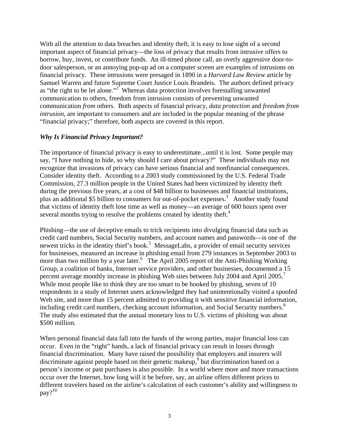With all the attention to data breaches and identity theft, it is easy to lose sight of a second important aspect of financial privacy—the loss of privacy that results from intrusive offers to borrow, buy, invest, or contribute funds. An ill-timed phone call, an overly aggressive door-todoor salesperson, or an annoying pop-up ad on a computer screen are examples of intrusions on financial privacy. These intrusions were presaged in 1890 in a *Harvard Law Review* article by Samuel Warren and future Supreme Court Justice Louis Brandeis. The authors defined privacy as "the right to be let alone."<sup>2</sup> Whereas data protection involves forestalling unwanted communication *to* others, freedom from intrusion consists of preventing unwanted communication *from* others. Both aspects of financial privacy, *data protection* and *freedom from intrusion*, are important to consumers and are included in the popular meaning of the phrase "financial privacy;" therefore, both aspects are covered in this report.

## *Why Is Financial Privacy Important?*

The importance of financial privacy is easy to underestimate...until it is lost. Some people may say, "I have nothing to hide, so why should I care about privacy?" These individuals may not recognize that invasions of privacy can have serious financial and nonfinancial consequences. Consider identity theft. According to a 2003 study commissioned by the U.S. Federal Trade Commission, 27.3 million people in the United States had been victimized by identity theft during the previous five years, at a cost of \$48 billion to businesses and financial institutions, plus an additional \$5 billion to consumers for out-of-pocket expenses.<sup>3</sup> Another study found that victims of identity theft lose time as well as money—an average of 600 hours spent over several months trying to resolve the problems created by identity theft.<sup>4</sup>

Phishing—the use of deceptive emails to trick recipients into divulging financial data such as credit card numbers, Social Security numbers, and account names and passwords—is one of the newest tricks in the identity thief's book.<sup>5</sup> MessageLabs, a provider of email security services for businesses, measured an increase in phishing email from 279 instances in September 2003 to more than two million by a year later.<sup>6</sup> The April 2005 report of the Anti-Phishing Working Group, a coalition of banks, Internet service providers, and other businesses, documented a 15 percent average monthly increase in phishing Web sites between July 2004 and April 2005.<sup>7</sup> While most people like to think they are too smart to be hooked by phishing, seven of 10 respondents in a study of Internet users acknowledged they had unintentionally visited a spoofed Web site, and more than 15 percent admitted to providing it with sensitive financial information, including credit card numbers, checking account information, and Social Security numbers.<sup>8</sup> The study also estimated that the annual monetary loss to U.S. victims of phishing was about \$500 million.

When personal financial data fall into the hands of the wrong parties, major financial loss can occur. Even in the "right" hands, a lack of financial privacy can result in losses through financial discrimination. Many have raised the possibility that employers and insurers will discriminate against people based on their genetic makeup,<sup>9</sup> but discrimination based on a person's income or past purchases is also possible. In a world where more and more transactions occur over the Internet, how long will it be before, say, an airline offers different prices to different travelers based on the airline's calculation of each customer's ability and willingness to  $\text{pav}$ ?<sup>10</sup>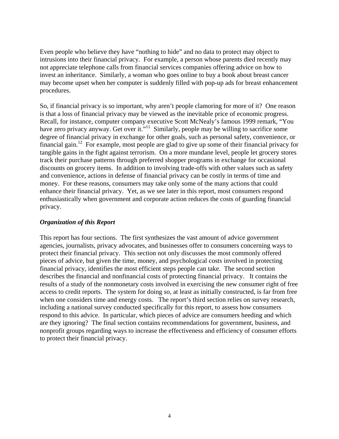Even people who believe they have "nothing to hide" and no data to protect may object to intrusions into their financial privacy. For example, a person whose parents died recently may not appreciate telephone calls from financial services companies offering advice on how to invest an inheritance. Similarly, a woman who goes online to buy a book about breast cancer may become upset when her computer is suddenly filled with pop-up ads for breast enhancement procedures.

So, if financial privacy is so important, why aren't people clamoring for more of it? One reason is that a loss of financial privacy may be viewed as the inevitable price of economic progress. Recall, for instance, computer company executive Scott McNealy's famous 1999 remark, "You have zero privacy anyway. Get over it."<sup>11</sup> Similarly, people may be willing to sacrifice some degree of financial privacy in exchange for other goals, such as personal safety, convenience, or financial gain.<sup>12</sup> For example, most people are glad to give up some of their financial privacy for tangible gains in the fight against terrorism. On a more mundane level, people let grocery stores track their purchase patterns through preferred shopper programs in exchange for occasional discounts on grocery items. In addition to involving trade-offs with other values such as safety and convenience, actions in defense of financial privacy can be costly in terms of time and money. For these reasons, consumers may take only some of the many actions that could enhance their financial privacy. Yet, as we see later in this report, most consumers respond enthusiastically when government and corporate action reduces the costs of guarding financial privacy.

## *Organization of this Report*

This report has four sections. The first synthesizes the vast amount of advice government agencies, journalists, privacy advocates, and businesses offer to consumers concerning ways to protect their financial privacy. This section not only discusses the most commonly offered pieces of advice, but given the time, money, and psychological costs involved in protecting financial privacy, identifies the most efficient steps people can take. The second section describes the financial and nonfinancial costs of protecting financial privacy. It contains the results of a study of the nonmonetary costs involved in exercising the new consumer right of free access to credit reports. The system for doing so, at least as initially constructed, is far from free when one considers time and energy costs. The report's third section relies on survey research, including a national survey conducted specifically for this report, to assess how consumers respond to this advice. In particular, which pieces of advice are consumers heeding and which are they ignoring? The final section contains recommendations for government, business, and nonprofit groups regarding ways to increase the effectiveness and efficiency of consumer efforts to protect their financial privacy.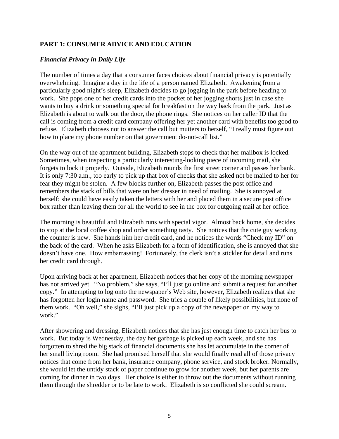## <span id="page-10-0"></span>**PART 1: CONSUMER ADVICE AND EDUCATION**

## *Financial Privacy in Daily Life*

The number of times a day that a consumer faces choices about financial privacy is potentially overwhelming. Imagine a day in the life of a person named Elizabeth. Awakening from a particularly good night's sleep, Elizabeth decides to go jogging in the park before heading to work. She pops one of her credit cards into the pocket of her jogging shorts just in case she wants to buy a drink or something special for breakfast on the way back from the park. Just as Elizabeth is about to walk out the door, the phone rings. She notices on her caller ID that the call is coming from a credit card company offering her yet another card with benefits too good to refuse. Elizabeth chooses not to answer the call but mutters to herself, "I really must figure out how to place my phone number on that government do-not-call list."

On the way out of the apartment building, Elizabeth stops to check that her mailbox is locked. Sometimes, when inspecting a particularly interesting-looking piece of incoming mail, she forgets to lock it properly. Outside, Elizabeth rounds the first street corner and passes her bank. It is only 7:30 a.m., too early to pick up that box of checks that she asked not be mailed to her for fear they might be stolen. A few blocks further on, Elizabeth passes the post office and remembers the stack of bills that were on her dresser in need of mailing. She is annoyed at herself; she could have easily taken the letters with her and placed them in a secure post office box rather than leaving them for all the world to see in the box for outgoing mail at her office.

The morning is beautiful and Elizabeth runs with special vigor. Almost back home, she decides to stop at the local coffee shop and order something tasty. She notices that the cute guy working the counter is new. She hands him her credit card, and he notices the words "Check my ID" on the back of the card. When he asks Elizabeth for a form of identification, she is annoyed that she doesn't have one. How embarrassing! Fortunately, the clerk isn't a stickler for detail and runs her credit card through.

Upon arriving back at her apartment, Elizabeth notices that her copy of the morning newspaper has not arrived yet. "No problem," she says, "I'll just go online and submit a request for another copy." In attempting to log onto the newspaper's Web site, however, Elizabeth realizes that she has forgotten her login name and password. She tries a couple of likely possibilities, but none of them work. "Oh well," she sighs, "I'll just pick up a copy of the newspaper on my way to work."

After showering and dressing, Elizabeth notices that she has just enough time to catch her bus to work. But today is Wednesday, the day her garbage is picked up each week, and she has forgotten to shred the big stack of financial documents she has let accumulate in the corner of her small living room. She had promised herself that she would finally read all of those privacy notices that come from her bank, insurance company, phone service, and stock broker. Normally, she would let the untidy stack of paper continue to grow for another week, but her parents are coming for dinner in two days. Her choice is either to throw out the documents without running them through the shredder or to be late to work. Elizabeth is so conflicted she could scream.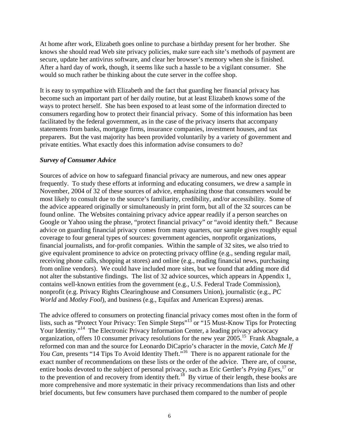At home after work, Elizabeth goes online to purchase a birthday present for her brother. She knows she should read Web site privacy policies, make sure each site's methods of payment are secure, update her antivirus software, and clear her browser's memory when she is finished. After a hard day of work, though, it seems like such a hassle to be a vigilant consumer. She would so much rather be thinking about the cute server in the coffee shop.

It is easy to sympathize with Elizabeth and the fact that guarding her financial privacy has become such an important part of her daily routine, but at least Elizabeth knows some of the ways to protect herself. She has been exposed to at least some of the information directed to consumers regarding how to protect their financial privacy. Some of this information has been facilitated by the federal government, as in the case of the privacy inserts that accompany statements from banks, mortgage firms, insurance companies, investment houses, and tax preparers. But the vast majority has been provided voluntarily by a variety of government and private entities. What exactly does this information advise consumers to do?

### *Survey of Consumer Advice*

Sources of advice on how to safeguard financial privacy are numerous, and new ones appear frequently. To study these efforts at informing and educating consumers, we drew a sample in November, 2004 of 32 of these sources of advice, emphasizing those that consumers would be most likely to consult due to the source's familiarity, credibility, and/or accessibility. Some of the advice appeared originally or simultaneously in print form, but all of the 32 sources can be found online. The Websites containing privacy advice appear readily if a person searches on Google or Yahoo using the phrase, "protect financial privacy" or "avoid identity theft." Because advice on guarding financial privacy comes from many quarters, our sample gives roughly equal coverage to four general types of sources: government agencies, nonprofit organizations, financial journalists, and for-profit companies. Within the sample of 32 sites, we also tried to give equivalent prominence to advice on protecting privacy offline (e.g., sending regular mail, receiving phone calls, shopping at stores) and online (e.g., reading financial news, purchasing from online vendors). We could have included more sites, but we found that adding more did not alter the substantive findings. The list of 32 advice sources, which appears in Appendix 1, contains well-known entities from the government (e.g., U.S. Federal Trade Commission), nonprofit (e.g. Privacy Rights Clearinghouse and Consumers Union), journalistic (e.g., *PC World* and *Motley Fool*), and business (e.g., Equifax and American Express) arenas.

The advice offered to consumers on protecting financial privacy comes most often in the form of lists, such as "Protect Your Privacy: Ten Simple Steps"<sup>13</sup> or "15 Must-Know Tips for Protecting Your Identity."<sup>14</sup> The Electronic Privacy Information Center, a leading privacy advocacy organization, offers 10 consumer privacy resolutions for the new year 2005.15 Frank Abagnale, a reformed con man and the source for Leonardo DiCaprio's character in the movie, *Catch Me If You Can*, presents "14 Tips To Avoid Identity Theft."<sup>16</sup> There is no apparent rationale for the exact number of recommendations on these lists or the order of the advice. There are, of course, entire books devoted to the subject of personal privacy, such as Eric Gertler's *Prying Eyes*, 17 or to the prevention of and recovery from identity theft.<sup>18</sup> By virtue of their length, these books are more comprehensive and more systematic in their privacy recommendations than lists and other brief documents, but few consumers have purchased them compared to the number of people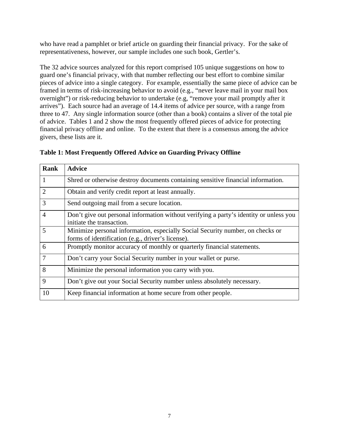who have read a pamphlet or brief article on guarding their financial privacy. For the sake of representativeness, however, our sample includes one such book, Gertler's.

The 32 advice sources analyzed for this report comprised 105 unique suggestions on how to guard one's financial privacy, with that number reflecting our best effort to combine similar pieces of advice into a single category. For example, essentially the same piece of advice can be framed in terms of risk-increasing behavior to avoid (e.g., "never leave mail in your mail box overnight") or risk-reducing behavior to undertake (e.g, "remove your mail promptly after it arrives"). Each source had an average of 14.4 items of advice per source, with a range from three to 47. Any single information source (other than a book) contains a sliver of the total pie of advice. Tables 1 and 2 show the most frequently offered pieces of advice for protecting financial privacy offline and online. To the extent that there is a consensus among the advice givers, these lists are it.

| <b>Rank</b>    | <b>Advice</b>                                                                                                                       |
|----------------|-------------------------------------------------------------------------------------------------------------------------------------|
| $\vert$ 1      | Shred or otherwise destroy documents containing sensitive financial information.                                                    |
| $\overline{2}$ | Obtain and verify credit report at least annually.                                                                                  |
| 3              | Send outgoing mail from a secure location.                                                                                          |
| $\overline{4}$ | Don't give out personal information without verifying a party's identity or unless you<br>initiate the transaction.                 |
| 5              | Minimize personal information, especially Social Security number, on checks or<br>forms of identification (e.g., driver's license). |
| 6              | Promptly monitor accuracy of monthly or quarterly financial statements.                                                             |
| $\overline{7}$ | Don't carry your Social Security number in your wallet or purse.                                                                    |
| 8              | Minimize the personal information you carry with you.                                                                               |
| 9              | Don't give out your Social Security number unless absolutely necessary.                                                             |
| 10             | Keep financial information at home secure from other people.                                                                        |

## **Table 1: Most Frequently Offered Advice on Guarding Privacy Offline**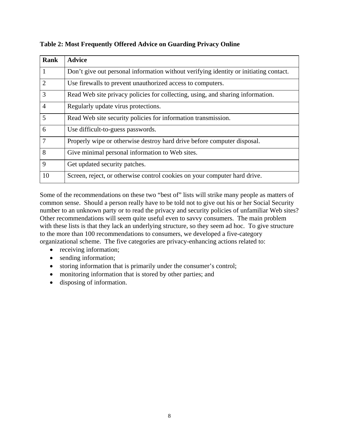| <b>Rank</b>    | <b>Advice</b>                                                                         |
|----------------|---------------------------------------------------------------------------------------|
| 1              | Don't give out personal information without verifying identity or initiating contact. |
| $\overline{2}$ | Use firewalls to prevent unauthorized access to computers.                            |
| 3              | Read Web site privacy policies for collecting, using, and sharing information.        |
| $\overline{4}$ | Regularly update virus protections.                                                   |
| 5              | Read Web site security policies for information transmission.                         |
| 6              | Use difficult-to-guess passwords.                                                     |
| $\overline{7}$ | Properly wipe or otherwise destroy hard drive before computer disposal.               |
| 8              | Give minimal personal information to Web sites.                                       |
| 9              | Get updated security patches.                                                         |
| 10             | Screen, reject, or otherwise control cookies on your computer hard drive.             |

**Table 2: Most Frequently Offered Advice on Guarding Privacy Online**

Some of the recommendations on these two "best of" lists will strike many people as matters of common sense. Should a person really have to be told not to give out his or her Social Security number to an unknown party or to read the privacy and security policies of unfamiliar Web sites? Other recommendations will seem quite useful even to savvy consumers. The main problem with these lists is that they lack an underlying structure, so they seem ad hoc. To give structure to the more than 100 recommendations to consumers, we developed a five-category organizational scheme. The five categories are privacy-enhancing actions related to:

- receiving information;
- sending information;
- storing information that is primarily under the consumer's control;
- monitoring information that is stored by other parties; and
- disposing of information.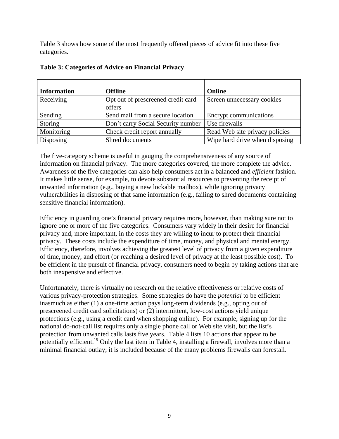Table 3 shows how some of the most frequently offered pieces of advice fit into these five categories.

| <b>Information</b> | <b>Offline</b>                     | <b>Online</b>                  |
|--------------------|------------------------------------|--------------------------------|
|                    |                                    |                                |
| Receiving          | Opt out of prescreened credit card | Screen unnecessary cookies     |
|                    | offers                             |                                |
| Sending            | Send mail from a secure location   | Encrypt communications         |
| Storing            | Don't carry Social Security number | Use firewalls                  |
| Monitoring         | Check credit report annually       | Read Web site privacy policies |
| Disposing          | Shred documents                    | Wipe hard drive when disposing |

|  |  |  | Table 3: Categories of Advice on Financial Privacy |
|--|--|--|----------------------------------------------------|
|--|--|--|----------------------------------------------------|

The five-category scheme is useful in gauging the comprehensiveness of any source of information on financial privacy. The more categories covered, the more complete the advice. Awareness of the five categories can also help consumers act in a balanced and *efficient* fashion. It makes little sense, for example, to devote substantial resources to preventing the receipt of unwanted information (e.g., buying a new lockable mailbox), while ignoring privacy vulnerabilities in disposing of that same information (e.g., failing to shred documents containing sensitive financial information).

Efficiency in guarding one's financial privacy requires more, however, than making sure not to ignore one or more of the five categories. Consumers vary widely in their desire for financial privacy and, more important, in the costs they are willing to incur to protect their financial privacy. These costs include the expenditure of time, money, and physical and mental energy. Efficiency, therefore, involves achieving the greatest level of privacy from a given expenditure of time, money, and effort (or reaching a desired level of privacy at the least possible cost). To be efficient in the pursuit of financial privacy, consumers need to begin by taking actions that are both inexpensive and effective.

Unfortunately, there is virtually no research on the relative effectiveness or relative costs of various privacy-protection strategies. Some strategies do have the *potential* to be efficient inasmuch as either (1) a one-time action pays long-term dividends (e.g., opting out of prescreened credit card solicitations) or (2) intermittent, low-cost actions yield unique protections (e.g., using a credit card when shopping online). For example, signing up for the national do-not-call list requires only a single phone call or Web site visit, but the list's protection from unwanted calls lasts five years. Table 4 lists 10 actions that appear to be potentially efficient.<sup>19</sup> Only the last item in Table 4, installing a firewall, involves more than a minimal financial outlay; it is included because of the many problems firewalls can forestall.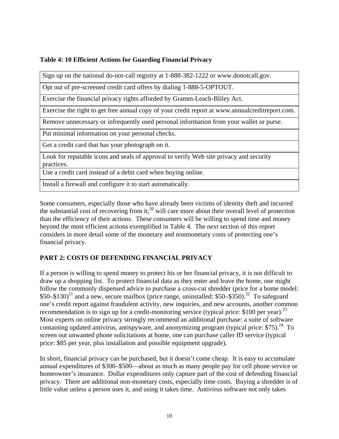## <span id="page-15-0"></span>**Table 4: 10 Efficient Actions for Guarding Financial Privacy**

Sign up on the national do-not-call registry at 1-888-382-1222 or www.donotcall.gov.

Opt out of pre-screened credit card offers by dialing 1-888-5-OPTOUT.

Exercise the financial privacy rights afforded by Gramm-Leach-Bliley Act.

Exercise the right to get free annual copy of your credit report at www.annualcreditreport.com.

Remove unnecessary or infrequently used personal information from your wallet or purse.

Put minimal information on your personal checks.

Get a credit card that has your photograph on it.

Look for reputable icons and seals of approval to verify Web site privacy and security practices.

Use a credit card instead of a debit card when buying online.

Install a firewall and configure it to start automatically.

Some consumers, especially those who have already been victims of identity theft and incurred the substantial cost of recovering from it,<sup>20</sup> will care more about their overall level of protection than the efficiency of their actions. These consumers will be willing to spend time and money beyond the most efficient actions exemplified in Table 4. The next section of this report considers in more detail some of the monetary and nonmonetary costs of protecting one's financial privacy.

## **PART 2: COSTS OF DEFENDING FINANCIAL PRIVACY**

If a person is willing to spend money to protect his or her financial privacy, it is not difficult to draw up a shopping list. To protect financial data as they enter and leave the home, one might follow the commonly dispensed advice to purchase a cross-cut shredder (price for a home model:  $$50–$130$ <sup>21</sup> and a new, secure mailbox (price range, uninstalled: \$50–\$350).<sup>22</sup> To safeguard one's credit report against fraudulent activity, new inquiries, and new accounts, another common recommendation is to sign up for a credit-monitoring service (typical price:  $$100$  per year).<sup>23</sup> Most experts on online privacy strongly recommend an additional purchase: a suite of software containing updated antivirus, antispyware, and anonymizing program (typical price:  $$75)$ .<sup>24</sup> To screen out unwanted phone solicitations at home, one can purchase caller ID service (typical price: \$85 per year, plus installation and possible equipment upgrade).

In short, financial privacy can be purchased, but it doesn't come cheap. It is easy to accumulate annual expenditures of \$300–\$500—about as much as many people pay for cell phone service or homeowner's insurance. Dollar expenditures only capture part of the cost of defending financial privacy. There are additional non-monetary costs, especially time costs. Buying a shredder is of little value unless a person uses it, and using it takes time. Antivirus software not only takes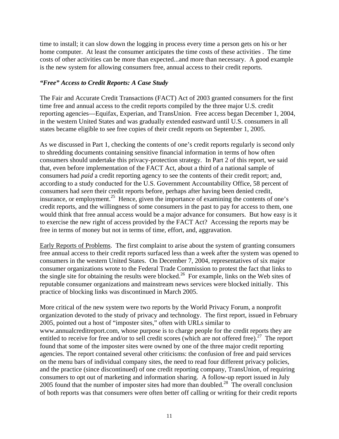time to install; it can slow down the logging in process every time a person gets on his or her home computer. At least the consumer anticipates the time costs of these activities . The time costs of other activities can be more than expected...and more than necessary. A good example is the new system for allowing consumers free, annual access to their credit reports.

## *"Free" Access to Credit Reports: A Case Study*

The Fair and Accurate Credit Transactions (FACT) Act of 2003 granted consumers for the first time free and annual access to the credit reports compiled by the three major U.S. credit reporting agencies—Equifax, Experian, and TransUnion. Free access began December 1, 2004, in the western United States and was gradually extended eastward until U.S. consumers in all states became eligible to see free copies of their credit reports on September 1, 2005.

As we discussed in Part 1, checking the contents of one's credit reports regularly is second only to shredding documents containing sensitive financial information in terms of how often consumers should undertake this privacy-protection strategy. In Part 2 of this report, we said that, even before implementation of the FACT Act, about a third of a national sample of consumers had *paid* a credit reporting agency to see the contents of their credit report; and, according to a study conducted for the U.S. Government Accountability Office, 58 percent of consumers had *seen* their credit reports before, perhaps after having been denied credit, insurance, or employment.<sup>25</sup> Hence, given the importance of examining the contents of one's credit reports, and the willingness of some consumers in the past to pay for access to them, one would think that free annual access would be a major advance for consumers. But how easy is it to exercise the new right of access provided by the FACT Act? Accessing the reports may be free in terms of money but not in terms of time, effort, and, aggravation.

Early Reports of Problems. The first complaint to arise about the system of granting consumers free annual access to their credit reports surfaced less than a week after the system was opened to consumers in the western United States. On December 7, 2004, representatives of six major consumer organizations wrote to the Federal Trade Commission to protest the fact that links to the single site for obtaining the results were blocked.<sup>26</sup> For example, links on the Web sites of reputable consumer organizations and mainstream news services were blocked initially. This practice of blocking links was discontinued in March 2005.

More critical of the new system were two reports by the World Privacy Forum, a nonprofit organization devoted to the study of privacy and technology. The first report, issued in February 2005, pointed out a host of "imposter sites," often with URLs similar to www.annualcreditreport.com, whose purpose is to charge people for the credit reports they are entitled to receive for free and/or to sell credit scores (which are not offered free).<sup>27</sup> The report found that some of the imposter sites were owned by one of the three major credit reporting agencies. The report contained several other criticisms: the confusion of free and paid services on the menu bars of individual company sites, the need to read four different privacy policies, and the practice (since discontinued) of one credit reporting company, TransUnion, of requiring consumers to opt out of marketing and information sharing. A follow-up report issued in July 2005 found that the number of imposter sites had more than doubled.<sup>28</sup> The overall conclusion of both reports was that consumers were often better off calling or writing for their credit reports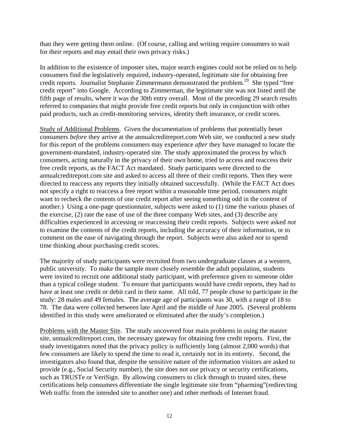than they were getting them online. (Of course, calling and writing require consumers to wait for their reports and may entail their own privacy risks.)

In addition to the existence of imposter sites, major search engines could not be relied on to help consumers find the legislatively required, industry-operated, legitimate site for obtaining free credit reports. Journalist Stephanie Zimmermann demonstrated the problem.<sup>29</sup> She typed "free credit report" into Google. According to Zimmerman, the legitimate site was not listed until the fifth page of results, where it was the 30th entry overall. Most of the preceding 29 search results referred to companies that might provide free credit reports but only in conjunction with other paid products, such as credit-monitoring services, identity theft insurance, or credit scores.

Study of Additional Problems. Given the documentation of problems that potentially beset consumers *before* they arrive at the annualcreditreport.com Web site, we conducted a new study for this report of the problems consumers may experience *after* they have managed to locate the government-mandated, industry-operated site. The study approximated the process by which consumers, acting naturally in the privacy of their own home, tried to access and reaccess their free credit reports, as the FACT Act mandated. Study participants were directed to the annualcreditreport.com site and asked to access all three of their credit reports. Then they were directed to reaccess any reports they initially obtained successfully. (While the FACT Act does not specify a right to reaccess a free report within a reasonable time period, consumers might want to recheck the contents of one credit report after seeing something odd in the content of another.) Using a one-page questionnaire, subjects were asked to (1) time the various phases of the exercise, (2) rate the ease of use of the three company Web sites, and (3) describe any difficulties experienced in accessing or reaccessing their credit reports. Subjects were asked *not* to examine the contents of the credit reports, including the accuracy of their information, or to comment on the ease of navigating through the report. Subjects were also asked *not* to spend time thinking about purchasing credit scores.

The majority of study participants were recruited from two undergraduate classes at a western, public university. To make the sample more closely resemble the adult population, students were invited to recruit one additional study participant, with preference given to someone older than a typical college student. To ensure that participants would have credit reports, they had to have at least one credit or debit card in their name. All told, 77 people chose to participate in the study: 28 males and 49 females. The average age of participants was 30, with a range of 18 to 78. The data were collected between late April and the middle of June 2005. (Several problems identified in this study were ameliorated or eliminated after the study's completion.)

Problems with the Master Site. The study uncovered four main problems in using the master site, annualcreditreport.com, the necessary gateway for obtaining free credit reports. First, the study investigators noted that the privacy policy is sufficiently long (almost 2,000 words) that few consumers are likely to spend the time to read it, certainly not in its entirety. Second, the investigators also found that, despite the sensitive nature of the information visitors are asked to provide (e.g., Social Security number), the site does not use privacy or security certifications, such as TRUSTe or VeriSign. By allowing consumers to click through to trusted sites, these certifications help consumers differentiate the single legitimate site from "pharming"(redirecting Web traffic from the intended site to another one) and other methods of Internet fraud.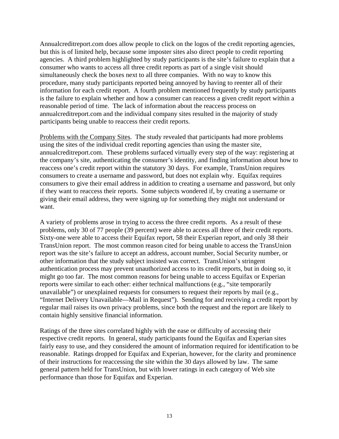Annualcreditreport.com does allow people to click on the logos of the credit reporting agencies, but this is of limited help, because some imposter sites also direct people to credit reporting agencies. A third problem highlighted by study participants is the site's failure to explain that a consumer who wants to access all three credit reports as part of a single visit should simultaneously check the boxes next to all three companies. With no way to know this procedure, many study participants reported being annoyed by having to reenter all of their information for each credit report. A fourth problem mentioned frequently by study participants is the failure to explain whether and how a consumer can reaccess a given credit report within a reasonable period of time. The lack of information about the reaccess process on annualcreditreport.com and the individual company sites resulted in the majority of study participants being unable to reaccess their credit reports.

Problems with the Company Sites. The study revealed that participants had more problems using the sites of the individual credit reporting agencies than using the master site, annualcreditreport.com. These problems surfaced virtually every step of the way: registering at the company's site, authenticating the consumer's identity, and finding information about how to reaccess one's credit report within the statutory 30 days. For example, TransUnion requires consumers to create a username and password, but does not explain why. Equifax requires consumers to give their email address in addition to creating a username and password, but only if they want to reaccess their reports. Some subjects wondered if, by creating a username or giving their email address, they were signing up for something they might not understand or want.

A variety of problems arose in trying to access the three credit reports. As a result of these problems, only 30 of 77 people (39 percent) were able to access all three of their credit reports. Sixty-one were able to access their Equifax report, 58 their Experian report, and only 38 their TransUnion report. The most common reason cited for being unable to access the TransUnion report was the site's failure to accept an address, account number, Social Security number, or other information that the study subject insisted was correct. TransUnion's stringent authentication process may prevent unauthorized access to its credit reports, but in doing so, it might go too far. The most common reasons for being unable to access Equifax or Experian reports were similar to each other: either technical malfunctions (e.g., "site temporarily unavailable") or unexplained requests for consumers to request their reports by mail (e.g., "Internet Delivery Unavailable—Mail in Request"). Sending for and receiving a credit report by regular mail raises its own privacy problems, since both the request and the report are likely to contain highly sensitive financial information.

Ratings of the three sites correlated highly with the ease or difficulty of accessing their respective credit reports. In general, study participants found the Equifax and Experian sites fairly easy to use, and they considered the amount of information required for identification to be reasonable. Ratings dropped for Equifax and Experian, however, for the clarity and prominence of their instructions for reaccessing the site within the 30 days allowed by law. The same general pattern held for TransUnion, but with lower ratings in each category of Web site performance than those for Equifax and Experian.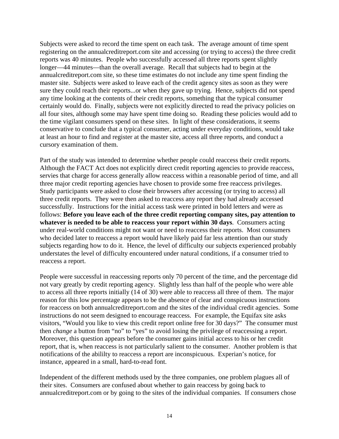Subjects were asked to record the time spent on each task. The average amount of time spent registering on the annualcreditreport.com site and accessing (or trying to access) the three credit reports was 40 minutes. People who successfully accessed all three reports spent slightly longer—44 minutes—than the overall average. Recall that subjects had to begin at the annualcreditreport.com site, so these time estimates do not include any time spent finding the master site. Subjects were asked to leave each of the credit agency sites as soon as they were sure they could reach their reports...or when they gave up trying. Hence, subjects did not spend any time looking at the contents of their credit reports, something that the typical consumer certainly would do. Finally, subjects were not explicitly directed to read the privacy policies on all four sites, although some may have spent time doing so. Reading these policies would add to the time vigilant consumers spend on these sites. In light of these considerations, it seems conservative to conclude that a typical consumer, acting under everyday conditions, would take at least an hour to find and register at the master site, access all three reports, and conduct a cursory examination of them.

Part of the study was intended to determine whether people could reaccess their credit reports. Although the FACT Act does not explicitly direct credit reporting agencies to provide reaccess, servies that charge for access generally allow reaccess within a reasonable period of time, and all three major credit reporting agencies have chosen to provide some free reaccess privileges. Study participants were asked to close their browsers after accessing (or trying to access) all three credit reports. They were then asked to reaccess any report they had already accessed successfully. Instructions for the initial access task were printed in bold letters and were as follows: **Before you leave each of the three credit reporting company sites, pay attention to whatever is needed to be able to reaccess your report within 30 days**. Consumers acting under real-world conditions might not want or need to reaccess their reports. Most consumers who decided later to reaccess a report would have likely paid far less attention than our study subjects regarding how to do it. Hence, the level of difficulty our subjects experienced probably understates the level of difficulty encountered under natural conditions, if a consumer tried to reaccess a report.

People were successful in reaccessing reports only 70 percent of the time, and the percentage did not vary greatly by credit reporting agency. Slightly less than half of the people who were able to access all three reports initially (14 of 30) were able to reaccess all three of them. The major reason for this low percentage appears to be the absence of clear and conspicuous instructions for reaccess on both annualcreditreport.com and the sites of the individual credit agencies. Some instructions do not seem designed to encourage reaccess. For example, the Equifax site asks visitors, "Would you like to view this credit report online free for 30 days?" The consumer must then *change* a button from "no" to "yes" to avoid losing the privilege of reaccessing a report. Moreover, this question appears before the consumer gains initial access to his or her credit report, that is, when reaccess is not particularly salient to the consumer. Another problem is that notifications of the abililty to reaccess a report are inconspicuous. Experian's notice, for instance, appeared in a small, hard-to-read font.

Independent of the different methods used by the three companies, one problem plagues all of their sites. Consumers are confused about whether to gain reaccess by going back to annualcreditreport.com or by going to the sites of the individual companies. If consumers chose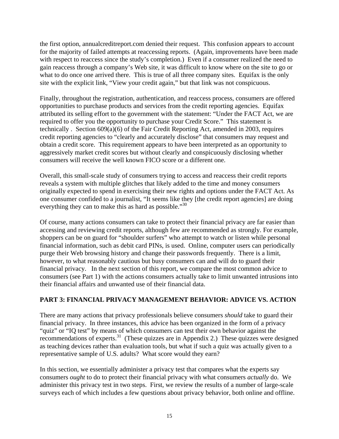<span id="page-20-0"></span>the first option, annualcreditreport.com denied their request. This confusion appears to account for the majority of failed attempts at reaccessing reports. (Again, improvements have been made with respect to reaccess since the study's completion.) Even if a consumer realized the need to gain reaccess through a company's Web site, it was difficult to know where on the site to go or what to do once one arrived there. This is true of all three company sites. Equifax is the only site with the explicit link, "View your credit again," but that link was not conspicuous.

Finally, throughout the registration, authentication, and reaccess process, consumers are offered opportunities to purchase products and services from the credit reporting agencies. Equifax attributed its selling effort to the government with the statement: "Under the FACT Act, we are required to offer you the opportunity to purchase your Credit Score." This statement is technically . Section 609(a)(6) of the Fair Credit Reporting Act, amended in 2003, requires credit reporting agencies to "clearly and accurately disclose" that consumers may request and obtain a credit score. This requirement appears to have been interpreted as an opportunity to aggressively market credit scores but without clearly and conspicuously disclosing whether consumers will receive the well known FICO score or a different one.

Overall, this small-scale study of consumers trying to access and reaccess their credit reports reveals a system with multiple glitches that likely added to the time and money consumers originally expected to spend in exercising their new rights and options under the FACT Act. As one consumer confided to a journalist, "It seems like they [the credit report agencies] are doing everything they can to make this as hard as possible."<sup>30</sup>

Of course, many actions consumers can take to protect their financial privacy are far easier than accessing and reviewing credit reports, although few are recommended as strongly. For example, shoppers can be on guard for "shoulder surfers" who attempt to watch or listen while personal financial information, such as debit card PINs, is used. Online, computer users can periodically purge their Web browsing history and change their passwords frequently. There is a limit, however, to what reasonably cautious but busy consumers can and will do to guard their financial privacy. In the next section of this report, we compare the most common advice to consumers (see Part 1) with the actions consumers actually take to limit unwanted intrusions into their financial affairs and unwanted use of their financial data.

## **PART 3: FINANCIAL PRIVACY MANAGEMENT BEHAVIOR: ADVICE VS. ACTION**

There are many actions that privacy professionals believe consumers *should* take to guard their financial privacy. In three instances, this advice has been organized in the form of a privacy "quiz" or "IQ test" by means of which consumers can test their own behavior against the recommendations of experts.<sup>31</sup> (These quizzes are in Appendix 2.) These quizzes were designed as teaching devices rather than evaluation tools, but what if such a quiz was actually given to a representative sample of U.S. adults? What score would they earn?

In this section, we essentially administer a privacy test that compares what the experts say consumers *ought* to do to protect their financial privacy with what consumers *actually* do. We administer this privacy test in two steps. First, we review the results of a number of large-scale surveys each of which includes a few questions about privacy behavior, both online and offline.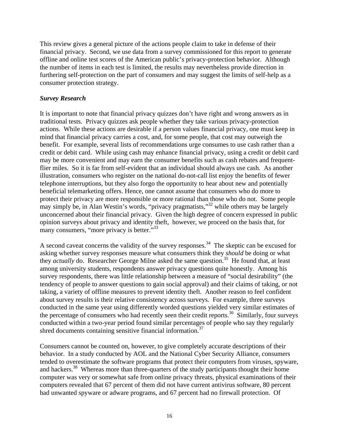This review gives a general picture of the actions people claim to take in defense of their financial privacy. Second, we use data from a survey commissioned for this report to generate offline and online test scores of the American public's privacy-protection behavior. Although the number of items in each test is limited, the results may nevertheless provide direction in furthering self-protection on the part of consumers and may suggest the limits of self-help as a consumer protection strategy.

### *Survey Research*

It is important to note that financial privacy quizzes don't have right and wrong answers as in traditional tests. Privacy quizzes ask people whether they take various privacy-protection actions. While these actions are desirable if a person values financial privacy, one must keep in mind that financial privacy carries a cost, and, for some people, that cost may outweigh the benefit. For example, several lists of recommendations urge consumes to use cash rather than a credit or debit card. While using cash may enhance financial privacy, using a credit or debit card may be more convenient and may earn the consumer benefits such as cash rebates and frequentflier miles. So it is far from self-evident that an individual should always use cash. As another illustration, consumers who register on the national do-not-call list enjoy the benefits of fewer telephone interruptions, but they also forgo the opportunity to hear about new and potentially beneficial telemarketing offers. Hence, one cannot assume that consumers who do more to protect their privacy are more responsible or more rational than those who do not. Some people may simply be, in Alan Westin's words, "privacy pragmatists,"<sup>32</sup> while others may be largely unconcerned about their financial privacy. Given the high degree of concern expressed in public opinion surveys about privacy and identity theft, however, we proceed on the basis that, for many consumers, "more privacy is better."<sup>33</sup>

A second caveat concerns the validity of the survey responses.<sup>34</sup> The skeptic can be excused for asking whether survey responses measure what consumers think they *should* be doing or what they *actually* do. Researcher George Milne asked the same question.<sup>35</sup> He found that, at least among university students, respondents answer privacy questions quite honestly. Among his survey respondents, there was little relationship between a measure of "social desirability" (the tendency of people to answer questions to gain social approval) and their claims of taking, or not taking, a variety of offline measures to prevent identity theft. Another reason to feel confident about survey results is their relative consistency across surveys. For example, three surveys conducted in the same year using differently worded questions yielded very similar estimates of the percentage of consumers who had recently seen their credit reports.<sup>36</sup> Similarly, four surveys conducted within a two-year period found similar percentages of people who say they regularly shred documents containing sensitive financial information.<sup>37</sup>

Consumers cannot be counted on, however, to give completely accurate descriptions of their behavior. In a study conducted by AOL and the National Cyber Security Alliance, consumers tended to overestimate the software programs that protect their computers from viruses, spyware, and hackers.<sup>38</sup> Whereas more than three-quarters of the study participants thought their home computer was very or somewhat safe from online privacy threats, physical examinations of their computers revealed that 67 percent of them did not have current antivirus software, 80 percent had unwanted spyware or adware programs, and 67 percent had no firewall protection. Of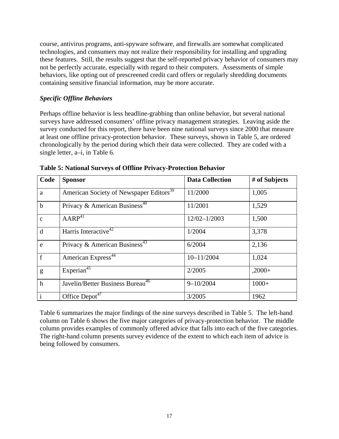course, antivirus programs, anti-spyware software, and firewalls are somewhat complicated technologies, and consumers may not realize their responsibility for installing and upgrading these features. Still, the results suggest that the self-reported privacy behavior of consumers may not be perfectly accurate, especially with regard to their computers. Assessments of simple behaviors, like opting out of prescreened credit card offers or regularly shredding documents containing sensitive financial information, may be more accurate.

## *Specific Offline Behaviors*

Perhaps offline behavior is less headline-grabbing than online behavior, but several national surveys have addressed consumers' offline privacy management strategies. Leaving aside the survey conducted for this report, there have been nine national surveys since 2000 that measure at least one offline privacy-protection behavior. These surveys, shown in Table 5, are ordered chronologically by the period during which their data were collected. They are coded with a single letter, a–i, in Table 6.

| Code         | <b>Sponsor</b>                                      | <b>Data Collection</b> | # of Subjects |
|--------------|-----------------------------------------------------|------------------------|---------------|
| a            | American Society of Newspaper Editors <sup>39</sup> | 11/2000                | 1,005         |
| $\mathbf b$  | Privacy & American Business <sup>40</sup>           | 11/2001                | 1,529         |
| $\mathbf{c}$ | AARP <sup>41</sup>                                  | $12/02 - 1/2003$       | 1,500         |
| d            | Harris Interactive <sup>42</sup>                    | 1/2004                 | 3,378         |
| $\mathbf{e}$ | Privacy & American Business <sup>43</sup>           | 6/2004                 | 2,136         |
| f            | American Express <sup>44</sup>                      | $10 - 11/2004$         | 1,024         |
| g            | Experian <sup>45</sup>                              | 2/2005                 | $,2000+$      |
| $\mathbf h$  | Javelin/Better Business Bureau <sup>46</sup>        | $9 - 10/2004$          | $1000+$       |
| $\mathbf{i}$ | Office Depot <sup>47</sup>                          | 3/2005                 | 1962          |

**Table 5: National Surveys of Offline Privacy-Protection Behavior** 

Table 6 summarizes the major findings of the nine surveys described in Table 5. The left-hand column on Table 6 shows the five major categories of privacy-protection behavior. The middle column provides examples of commonly offered advice that falls into each of the five categories. The right-hand column presents survey evidence of the extent to which each item of advice is being followed by consumers.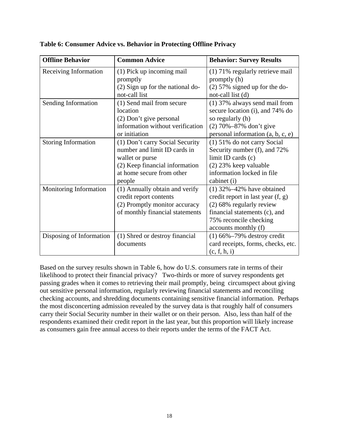| <b>Offline Behavior</b>    | <b>Common Advice</b>                                       | <b>Behavior: Survey Results</b>     |
|----------------------------|------------------------------------------------------------|-------------------------------------|
| Receiving Information      | (1) Pick up incoming mail                                  | (1) 71% regularly retrieve mail     |
|                            | promptly                                                   | promptly (h)                        |
|                            | (2) Sign up for the national do-                           | $(2)$ 57% signed up for the do-     |
|                            | not-call list                                              | not-call list (d)                   |
| Sending Information        | (1) Send mail from secure<br>(1) 37% always send mail from |                                     |
|                            | location                                                   | secure location (i), and 74% do     |
|                            | (2) Don't give personal                                    | so regularly (h)                    |
|                            | information without verification                           | $(2)$ 70%-87% don't give            |
|                            | or initiation                                              | personal information $(a, b, c, e)$ |
| <b>Storing Information</b> | (1) Don't carry Social Security                            | (1) 51% do not carry Social         |
|                            | number and limit ID cards in                               | Security number (f), and 72%        |
|                            | wallet or purse                                            | limit ID cards $(c)$                |
|                            | (2) Keep financial information                             | $(2)$ 23% keep valuable             |
|                            | at home secure from other                                  | information locked in file          |
|                            | people                                                     | cabinet (i)                         |
| Monitoring Information     | (1) Annually obtain and verify                             | $(1)$ 32%-42% have obtained         |
|                            | credit report contents                                     | credit report in last year (f, g)   |
|                            | (2) Promptly monitor accuracy                              | (2) 68% regularly review            |
|                            | of monthly financial statements                            | financial statements (c), and       |
|                            |                                                            | 75% reconcile checking              |
|                            |                                                            | accounts monthly (f)                |
| Disposing of Information   | (1) Shred or destroy financial                             | $(1)$ 66% $-79%$ destroy credit     |
|                            | documents                                                  | card receipts, forms, checks, etc.  |
|                            |                                                            | (c, f, h, i)                        |

**Table 6: Consumer Advice vs. Behavior in Protecting Offline Privacy** 

Based on the survey results shown in Table 6, how do U.S. consumers rate in terms of their likelihood to protect their financial privacy? Two-thirds or more of survey respondents get passing grades when it comes to retrieving their mail promptly, being circumspect about giving out sensitive personal information, regularly reviewing financial statements and reconciling checking accounts, and shredding documents containing sensitive financial information. Perhaps the most disconcerting admission revealed by the survey data is that roughly half of consumers carry their Social Security number in their wallet or on their person. Also, less than half of the respondents examined their credit report in the last year, but this proportion will likely increase as consumers gain free annual access to their reports under the terms of the FACT Act.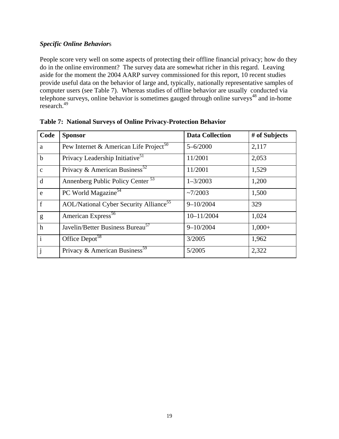## *Specific Online Behavior*s

People score very well on some aspects of protecting their offline financial privacy; how do they do in the online environment? The survey data are somewhat richer in this regard. Leaving aside for the moment the 2004 AARP survey commissioned for this report, 10 recent studies provide useful data on the behavior of large and, typically, nationally representative samples of computer users (see Table 7). Whereas studies of offline behavior are usually conducted via telephone surveys, online behavior is sometimes gauged through online surveys<sup>48</sup> and in-home research.<sup>49</sup>

| Code         | <b>Sponsor</b>                                            | <b>Data Collection</b> | # of Subjects |
|--------------|-----------------------------------------------------------|------------------------|---------------|
| a            | Pew Internet & American Life Project <sup>50</sup>        | $5 - 6/2000$           | 2,117         |
| $\mathbf b$  | Privacy Leadership Initiative <sup>51</sup>               | 11/2001                | 2,053         |
| $\mathbf{c}$ | Privacy & American Business <sup>52</sup>                 | 11/2001                | 1,529         |
| d            | Annenberg Public Policy Center <sup>53</sup>              | $1 - 3/2003$           | 1,200         |
| e            | PC World Magazine <sup>54</sup>                           | ~27/2003               | 1,500         |
| $\mathbf f$  | <b>AOL/National Cyber Security Alliance</b> <sup>55</sup> | $9 - 10/2004$          | 329           |
| g            | American Express <sup>56</sup>                            | $10 - 11/2004$         | 1,024         |
| $\mathbf h$  | Javelin/Better Business Bureau <sup>57</sup>              | $9 - 10/2004$          | $1,000+$      |
| $\mathbf{i}$ | Office Depot <sup>58</sup>                                | 3/2005                 | 1,962         |
| $\mathbf{j}$ | Privacy & American Business <sup>59</sup>                 | 5/2005                 | 2,322         |

| <b>Table 7: National Surveys of Online Privacy-Protection Behavior</b> |
|------------------------------------------------------------------------|
|------------------------------------------------------------------------|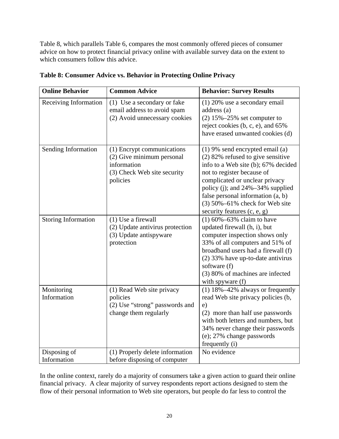Table 8, which parallels Table 6, compares the most commonly offered pieces of consumer advice on how to protect financial privacy online with available survey data on the extent to which consumers follow this advice.

| <b>Online Behavior</b>      | <b>Common Advice</b>                                                                                              | <b>Behavior: Survey Results</b>                                                                                                                                                                                                                                                                                                 |
|-----------------------------|-------------------------------------------------------------------------------------------------------------------|---------------------------------------------------------------------------------------------------------------------------------------------------------------------------------------------------------------------------------------------------------------------------------------------------------------------------------|
| Receiving Information       | (1) Use a secondary or fake<br>email address to avoid spam<br>(2) Avoid unnecessary cookies                       | $(1)$ 20% use a secondary email<br>address (a)<br>$(2)$ 15% $-25%$ set computer to<br>reject cookies (b, c, e), and 65%<br>have erased unwanted cookies (d)                                                                                                                                                                     |
| Sending Information         | (1) Encrypt communications<br>(2) Give minimum personal<br>information<br>(3) Check Web site security<br>policies | $(1)$ 9% send encrypted email $(a)$<br>$(2)$ 82% refused to give sensitive<br>info to a Web site (b); 67% decided<br>not to register because of<br>complicated or unclear privacy<br>policy (j); and 24%–34% supplied<br>false personal information $(a, b)$<br>$(3)$ 50%-61% check for Web site<br>security features (c, e, g) |
| <b>Storing Information</b>  | $(1)$ Use a firewall<br>(2) Update antivirus protection<br>(3) Update antispyware<br>protection                   | $(1) 60\% - 63\%$ claim to have<br>updated firewall (h, i), but<br>computer inspection shows only<br>33% of all computers and 51% of<br>broadband users had a firewall (f)<br>(2) 33% have up-to-date antivirus<br>software (f)<br>(3) 80% of machines are infected<br>with spyware (f)                                         |
| Monitoring<br>Information   | (1) Read Web site privacy<br>policies<br>(2) Use "strong" passwords and<br>change them regularly                  | $(1)$ 18% $-42$ % always or frequently<br>read Web site privacy policies (b,<br>e)<br>(2) more than half use passwords<br>with both letters and numbers, but<br>34% never change their passwords<br>(e); 27% change passwords<br>frequently (i)                                                                                 |
| Disposing of<br>Information | (1) Properly delete information<br>before disposing of computer                                                   | No evidence                                                                                                                                                                                                                                                                                                                     |

**Table 8: Consumer Advice vs. Behavior in Protecting Online Privacy** 

In the online context, rarely do a majority of consumers take a given action to guard their online financial privacy. A clear majority of survey respondents report actions designed to stem the flow of their personal information to Web site operators, but people do far less to control the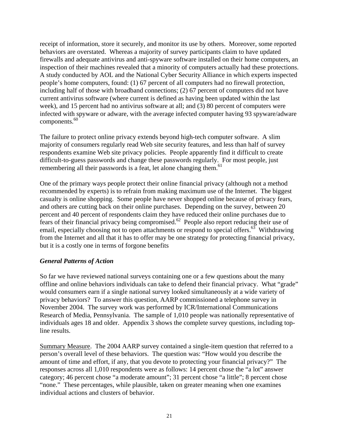receipt of information, store it securely, and monitor its use by others. Moreover, some reported behaviors are overstated. Whereas a majority of survey participants claim to have updated firewalls and adequate antivirus and anti-spyware software installed on their home computers, an inspection of their machines revealed that a minority of computers actually had these protections. A study conducted by AOL and the National Cyber Security Alliance in which experts inspected people's home computers, found: (1) 67 percent of all computers had no firewall protection, including half of those with broadband connections; (2) 67 percent of computers did not have current antivirus software (where current is defined as having been updated within the last week), and 15 percent had no antivirus software at all; and (3) 80 percent of computers were infected with spyware or adware, with the average infected computer having 93 spyware/adware components.<sup>60</sup>

The failure to protect online privacy extends beyond high-tech computer software. A slim majority of consumers regularly read Web site security features, and less than half of survey respondents examine Web site privacy policies. People apparently find it difficult to create difficult-to-guess passwords and change these passwords regularly. For most people, just remembering all their passwords is a feat, let alone changing them.<sup>61</sup>

One of the primary ways people protect their online financial privacy (although not a method recommended by experts) is to refrain from making maximum use of the Internet. The biggest casualty is online shopping. Some people have never shopped online because of privacy fears, and others are cutting back on their online purchases. Depending on the survey, between 20 percent and 40 percent of respondents claim they have reduced their online purchases due to fears of their financial privacy being compromised.62 People also report reducing their use of email, especially choosing not to open attachments or respond to special offers.<sup>63</sup> Withdrawing from the Internet and all that it has to offer may be one strategy for protecting financial privacy, but it is a costly one in terms of forgone benefits

### *General Patterns of Action*

So far we have reviewed national surveys containing one or a few questions about the many offline and online behaviors individuals can take to defend their financial privacy. What "grade" would consumers earn if a single national survey looked simultaneously at a wide variety of privacy behaviors? To answer this question, AARP commissioned a telephone survey in November 2004. The survey work was performed by ICR/International Communications Research of Media, Pennsylvania. The sample of 1,010 people was nationally representative of individuals ages 18 and older. Appendix 3 shows the complete survey questions, including topline results.

Summary Measure. The 2004 AARP survey contained a single-item question that referred to a person's overall level of these behaviors. The question was: "How would you describe the amount of time and effort, if any, that you devote to protecting your financial privacy?" The responses across all 1,010 respondents were as follows: 14 percent chose the "a lot" answer category; 46 percent chose "a moderate amount"; 31 percent chose "a little"; 8 percent chose "none." These percentages, while plausible, taken on greater meaning when one examines individual actions and clusters of behavior.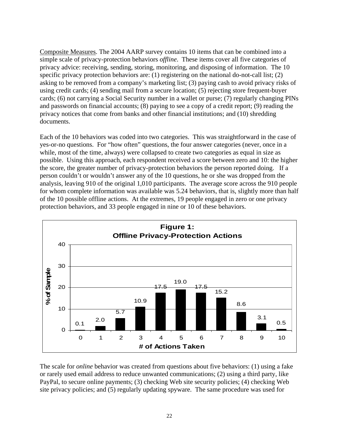Composite Measures. The 2004 AARP survey contains 10 items that can be combined into a simple scale of privacy-protection behaviors *offline*. These items cover all five categories of privacy advice: receiving, sending, storing, monitoring, and disposing of information. The 10 specific privacy protection behaviors are: (1) registering on the national do-not-call list; (2) asking to be removed from a company's marketing list; (3) paying cash to avoid privacy risks of using credit cards; (4) sending mail from a secure location; (5) rejecting store frequent-buyer cards; (6) not carrying a Social Security number in a wallet or purse; (7) regularly changing PINs and passwords on financial accounts; (8) paying to see a copy of a credit report; (9) reading the privacy notices that come from banks and other financial institutions; and (10) shredding documents.

Each of the 10 behaviors was coded into two categories. This was straightforward in the case of yes-or-no questions. For "how often" questions, the four answer categories (never, once in a while, most of the time, always) were collapsed to create two categories as equal in size as possible. Using this approach, each respondent received a score between zero and 10: the higher the score, the greater number of privacy-protection behaviors the person reported doing. If a person couldn't or wouldn't answer any of the 10 questions, he or she was dropped from the analysis, leaving 910 of the original 1,010 participants. The average score across the 910 people for whom complete information was available was 5.24 behaviors, that is, slightly more than half of the 10 possible offline actions. At the extremes, 19 people engaged in zero or one privacy protection behaviors, and 33 people engaged in nine or 10 of these behaviors.



The scale for *online* behavior was created from questions about five behaviors: (1) using a fake or rarely used email address to reduce unwanted communications; (2) using a third party, like PayPal, to secure online payments; (3) checking Web site security policies; (4) checking Web site privacy policies; and (5) regularly updating spyware. The same procedure was used for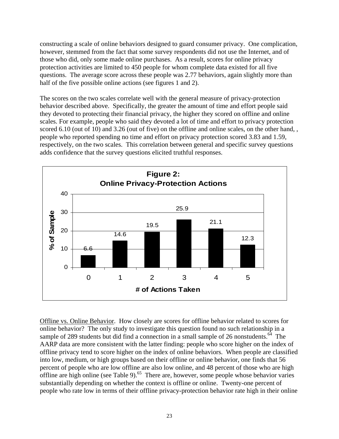constructing a scale of online behaviors designed to guard consumer privacy. One complication, however, stemmed from the fact that some survey respondents did not use the Internet, and of those who did, only some made online purchases. As a result, scores for online privacy protection activities are limited to 450 people for whom complete data existed for all five questions. The average score across these people was 2.77 behaviors, again slightly more than half of the five possible online actions (see figures 1 and 2).

The scores on the two scales correlate well with the general measure of privacy-protection behavior described above. Specifically, the greater the amount of time and effort people said they devoted to protecting their financial privacy, the higher they scored on offline and online scales. For example, people who said they devoted a lot of time and effort to privacy protection scored 6.10 (out of 10) and 3.26 (out of five) on the offline and online scales, on the other hand, , people who reported spending no time and effort on privacy protection scored 3.83 and 1.59, respectively, on the two scales. This correlation between general and specific survey questions adds confidence that the survey questions elicited truthful responses.



Offline vs. Online Behavior. How closely are scores for offline behavior related to scores for online behavior? The only study to investigate this question found no such relationship in a sample of 289 students but did find a connection in a small sample of 26 nonstudents.<sup>64</sup> The AARP data are more consistent with the latter finding: people who score higher on the index of offline privacy tend to score higher on the index of online behaviors. When people are classified into low, medium, or high groups based on their offline or online behavior, one finds that 56 percent of people who are low offline are also low online, and 48 percent of those who are high offline are high online (see Table 9).<sup>65</sup> There are, however, some people whose behavior varies substantially depending on whether the context is offline or online. Twenty-one percent of people who rate low in terms of their offline privacy-protection behavior rate high in their online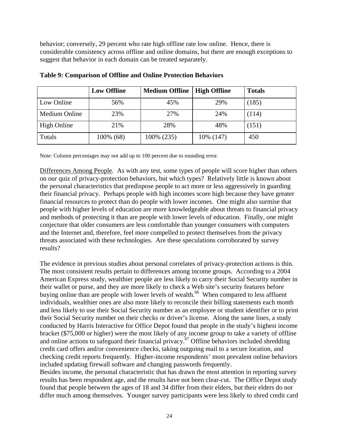behavior; conversely, 29 percent who rate high offline rate low online. Hence, there is considerable consistency across offline and online domains, but there are enough exceptions to suggest that behavior in each domain can be treated separately.

|               | <b>Low Offline</b> | <b>Medium Offline</b> | <b>High Offline</b> | <b>Totals</b> |
|---------------|--------------------|-----------------------|---------------------|---------------|
| Low Online    | 56%                | 45%                   | 29%                 | (185)         |
| Medium Online | 23%                | 27%                   | 24%                 | (114)         |
| High Online   | 21%                | 28%                   | 48%                 | (151)         |
| Totals        | 100% (68)          | 100% (235)            | 10\% (147)          | 450           |

## **Table 9: Comparison of Offline and Online Protection Behaviors**

Note: Column percentages may not add up to 100 percent due to rounding error.

Differences Among People. As with any test, some types of people will score higher than others on our quiz of privacy-protection behaviors, but which types? Relatively little is known about the personal characteristics that predispose people to act more or less aggressively in guarding their financial privacy. Perhaps people with high incomes score high because they have greater financial resources to protect than do people with lower incomes. One might also surmise that people with higher levels of education are more knowledgeable about threats to financial privacy and methods of protecting it than are people with lower levels of education. Finally, one might conjecture that older consumers are less comfortable than younger consumers with computers and the Internet and, therefore, feel more compelled to protect themselves from the privacy threats associated with these technologies. Are these speculations corroborated by survey results?

The evidence in previous studies about personal correlates of privacy-protection actions is thin. The most consistent results pertain to differences among income groups. According to a 2004 American Express study, wealthier people are less likely to carry their Social Security number in their wallet or purse, and they are more likely to check a Web site's security features before buying online than are people with lower levels of wealth.<sup>66</sup> When compared to less affluent individuals, wealthier ones are also more likely to reconcile their billing statements each month and less likely to use their Social Security number as an employee or student identifier or to print their Social Security number on their checks or driver's license. Along the same lines, a study conducted by Harris Interactive for Office Depot found that people in the study's highest income bracket (\$75,000 or higher) were the most likely of any income group to take a variety of offline and online actions to safeguard their financial privacy.67 Offline behaviors included shredding credit card offers and/or convenience checks, taking outgoing mail to a secure location, and checking credit reports frequently. Higher-income respondents' most prevalent online behaviors included updating firewall software and changing passwords frequently. Besides income, the personal characteristic that has drawn the most attention in reporting survey

results has been respondent age, and the results have not been clear-cut. The Office Depot study found that people between the ages of 18 and 34 differ from their elders, but their elders do not differ much among themselves. Younger survey participants were less likely to shred credit card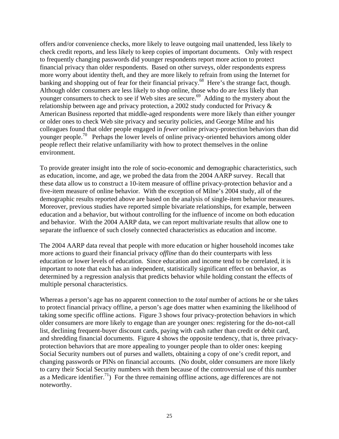offers and/or convenience checks, more likely to leave outgoing mail unattended, less likely to check credit reports, and less likely to keep copies of important documents. Only with respect to frequently changing passwords did younger respondents report more action to protect financial privacy than older respondents. Based on other surveys, older respondents express more worry about identity theft, and they are more likely to refrain from using the Internet for banking and shopping out of fear for their financial privacy.<sup>68</sup> Here's the strange fact, though. Although older consumers are less likely to shop online, those who do are *less* likely than younger consumers to check to see if Web sites are secure.<sup>69</sup> Adding to the mystery about the relationship between age and privacy protection, a 2002 study conducted for Privacy & American Business reported that middle-aged respondents were more likely than either younger or older ones to check Web site privacy and security policies, and George Milne and his colleagues found that older people engaged in *fewer* online privacy-protection behaviors than did younger people.<sup>70</sup> Perhaps the lower levels of online privacy-oriented behaviors among older people reflect their relative unfamiliarity with how to protect themselves in the online environment.

To provide greater insight into the role of socio-economic and demographic characteristics, such as education, income, and age, we probed the data from the 2004 AARP survey. Recall that these data allow us to construct a 10-item measure of offline privacy-protection behavior and a five-item measure of online behavior. With the exception of Milne's 2004 study, all of the demographic results reported above are based on the analysis of single-item behavior measures. Moreover, previous studies have reported simple bivariate relationships, for example, between education and a behavior, but without controlling for the influence of income on both education and behavior. With the 2004 AARP data, we can report multivariate results that allow one to separate the influence of such closely connected characteristics as education and income.

The 2004 AARP data reveal that people with more education or higher household incomes take more actions to guard their financial privacy *offline* than do their counterparts with less education or lower levels of education. Since education and income tend to be correlated, it is important to note that each has an independent, statistically significant effect on behavior, as determined by a regression analysis that predicts behavior while holding constant the effects of multiple personal characteristics.

Whereas a person's age has no apparent connection to the *total* number of actions he or she takes to protect financial privacy offline, a person's age does matter when examining the likelihood of taking some specific offline actions. Figure 3 shows four privacy-protection behaviors in which older consumers are more likely to engage than are younger ones: registering for the do-not-call list, declining frequent-buyer discount cards, paying with cash rather than credit or debit card, and shredding financial documents. Figure 4 shows the opposite tendency, that is, three privacyprotection behaviors that are more appealing to younger people than to older ones: keeping Social Security numbers out of purses and wallets, obtaining a copy of one's credit report, and changing passwords or PINs on financial accounts. (No doubt, older consumers are more likely to carry their Social Security numbers with them because of the controversial use of this number as a Medicare identifier.<sup>71</sup>) For the three remaining offline actions, age differences are not noteworthy.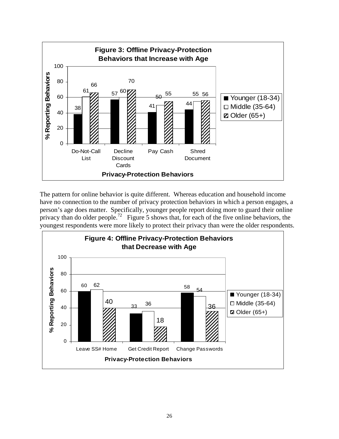

The pattern for online behavior is quite different. Whereas education and household income have no connection to the number of privacy protection behaviors in which a person engages, a person's age does matter. Specifically, younger people report doing more to guard their online privacy than do older people.<sup>72</sup> Figure 5 shows that, for each of the five online behaviors, the youngest respondents were more likely to protect their privacy than were the older respondents.

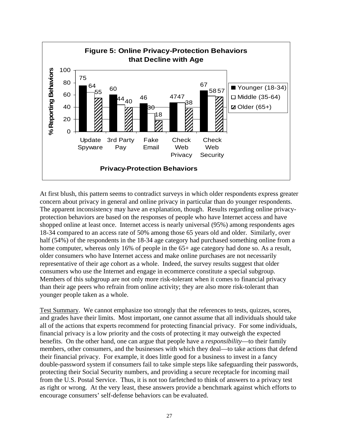

At first blush, this pattern seems to contradict surveys in which older respondents express greater concern about privacy in general and online privacy in particular than do younger respondents. The apparent inconsistency may have an explanation, though. Results regarding online privacyprotection behaviors are based on the responses of people who have Internet access and have shopped online at least once. Internet access is nearly universal (95%) among respondents ages 18-34 compared to an access rate of 50% among those 65 years old and older. Similarly, over half (54%) of the respondents in the 18-34 age category had purchased something online from a home computer, whereas only 16% of people in the 65+ age category had done so. As a result, older consumers who have Internet access and make online purchases are not necessarily representative of their age cohort as a whole. Indeed, the survey results suggest that older consumers who use the Internet and engage in ecommerce constitute a special subgroup. Members of this subgroup are not only more risk-tolerant when it comes to financial privacy than their age peers who refrain from online activity; they are also more risk-tolerant than younger people taken as a whole.

Test Summary. We cannot emphasize too strongly that the references to tests, quizzes, scores, and grades have their limits. Most important, one cannot assume that all individuals should take all of the actions that experts recommend for protecting financial privacy. For some individuals, financial privacy is a low priority and the costs of protecting it may outweigh the expected benefits. On the other hand, one can argue that people have a *responsibility*—to their family members, other consumers, and the businesses with which they deal—to take actions that defend their financial privacy. For example, it does little good for a business to invest in a fancy double-password system if consumers fail to take simple steps like safeguarding their passwords, protecting their Social Security numbers, and providing a secure receptacle for incoming mail from the U.S. Postal Service. Thus, it is not too farfetched to think of answers to a privacy test as right or wrong. At the very least, these answers provide a benchmark against which efforts to encourage consumers' self-defense behaviors can be evaluated.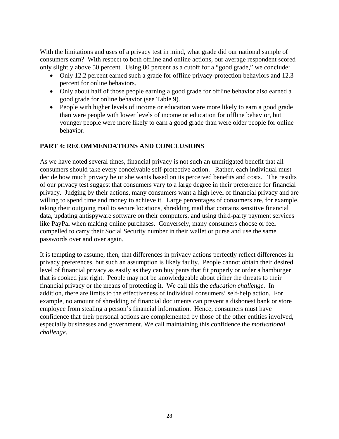<span id="page-33-0"></span>With the limitations and uses of a privacy test in mind, what grade did our national sample of consumers earn? With respect to both offline and online actions, our average respondent scored only slightly above 50 percent. Using 80 percent as a cutoff for a "good grade," we conclude:

- Only 12.2 percent earned such a grade for offline privacy-protection behaviors and 12.3 percent for online behaviors.
- Only about half of those people earning a good grade for offline behavior also earned a good grade for online behavior (see Table 9).
- People with higher levels of income or education were more likely to earn a good grade than were people with lower levels of income or education for offline behavior, but younger people were more likely to earn a good grade than were older people for online behavior.

## **PART 4: RECOMMENDATIONS AND CONCLUSIONS**

As we have noted several times, financial privacy is not such an unmitigated benefit that all consumers should take every conceivable self-protective action. Rather, each individual must decide how much privacy he or she wants based on its perceived benefits and costs. The results of our privacy test suggest that consumers vary to a large degree in their preference for financial privacy. Judging by their actions, many consumers want a high level of financial privacy and are willing to spend time and money to achieve it. Large percentages of consumers are, for example, taking their outgoing mail to secure locations, shredding mail that contains sensitive financial data, updating antispyware software on their computers, and using third-party payment services like PayPal when making online purchases. Conversely, many consumers choose or feel compelled to carry their Social Security number in their wallet or purse and use the same passwords over and over again.

It is tempting to assume, then, that differences in privacy actions perfectly reflect differences in privacy preferences, but such an assumption is likely faulty. People cannot obtain their desired level of financial privacy as easily as they can buy pants that fit properly or order a hamburger that is cooked just right. People may not be knowledgeable about either the threats to their financial privacy or the means of protecting it. We call this the *education challenge*. In addition, there are limits to the effectiveness of individual consumers' self-help action. For example, no amount of shredding of financial documents can prevent a dishonest bank or store employee from stealing a person's financial information. Hence, consumers must have confidence that their personal actions are complemented by those of the other entities involved, especially businesses and government. We call maintaining this confidence the *motivational challenge*.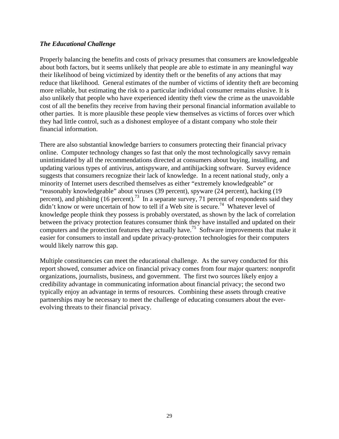## *The Educational Challenge*

Properly balancing the benefits and costs of privacy presumes that consumers are knowledgeable about both factors, but it seems unlikely that people are able to estimate in any meaningful way their likelihood of being victimized by identity theft or the benefits of any actions that may reduce that likelihood. General estimates of the number of victims of identity theft are becoming more reliable, but estimating the risk to a particular individual consumer remains elusive. It is also unlikely that people who have experienced identity theft view the crime as the unavoidable cost of all the benefits they receive from having their personal financial information available to other parties. It is more plausible these people view themselves as victims of forces over which they had little control, such as a dishonest employee of a distant company who stole their financial information.

There are also substantial knowledge barriers to consumers protecting their financial privacy online. Computer technology changes so fast that only the most technologically savvy remain unintimidated by all the recommendations directed at consumers about buying, installing, and updating various types of antivirus, antispyware, and antihijacking software. Survey evidence suggests that consumers recognize their lack of knowledge. In a recent national study, only a minority of Internet users described themselves as either "extremely knowledgeable" or "reasonably knowledgeable" about viruses (39 percent), spyware (24 percent), hacking (19 percent), and phishing  $(16 \text{ percent})$ .<sup>73</sup> In a separate survey, 71 percent of respondents said they didn't know or were uncertain of how to tell if a Web site is secure.<sup>74</sup> Whatever level of knowledge people think they possess is probably overstated, as shown by the lack of correlation between the privacy protection features consumer think they have installed and updated on their computers and the protection features they actually have.<sup>75</sup> Software improvements that make it easier for consumers to install and update privacy-protection technologies for their computers would likely narrow this gap.

Multiple constituencies can meet the educational challenge. As the survey conducted for this report showed, consumer advice on financial privacy comes from four major quarters: nonprofit organizations, journalists, business, and government. The first two sources likely enjoy a credibility advantage in communicating information about financial privacy; the second two typically enjoy an advantage in terms of resources. Combining these assets through creative partnerships may be necessary to meet the challenge of educating consumers about the everevolving threats to their financial privacy.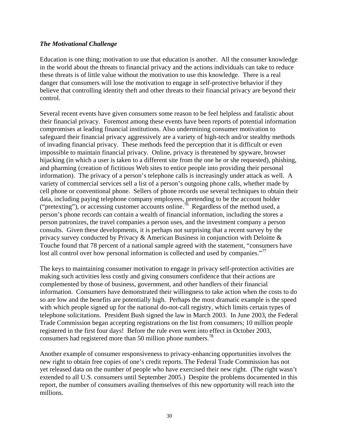## *The Motivational Challenge*

Education is one thing; motivation to use that education is another. All the consumer knowledge in the world about the threats to financial privacy and the actions individuals can take to reduce these threats is of little value without the motivation to use this knowledge. There is a real danger that consumers will lose the motivation to engage in self-protective behavior if they believe that controlling identity theft and other threats to their financial privacy are beyond their control.

Several recent events have given consumers some reason to be feel helpless and fatalistic about their financial privacy. Foremost among these events have been reports of potential information compromises at leading financial institutions. Also undermining consumer motivation to safeguard their financial privacy aggressively are a variety of high-tech and/or stealthy methods of invading financial privacy. These methods feed the perception that it is difficult or even impossible to maintain financial privacy. Online, privacy is threatened by spyware, browser hijacking (in which a user is taken to a different site from the one he or she requested), phishing, and pharming (creation of fictitious Web sites to entice people into providing their personal information). The privacy of a person's telephone calls is increasingly under attack as well. A variety of commercial services sell a list of a person's outgoing phone calls, whether made by cell phone or conventional phone. Sellers of phone records use several techniques to obtain their data, including paying telephone company employees, pretending to be the account holder ("pretexting"), or accessing customer accounts online.<sup>76</sup> Regardless of the method used, a person's phone records can contain a wealth of financial information, including the stores a person patronizes, the travel companies a person uses, and the investment company a person consults. Given these developments, it is perhaps not surprising that a recent survey by the privacy survey conducted by Privacy & American Business in conjunction with Deloitte  $\&$ Touche found that 78 percent of a national sample agreed with the statement, "consumers have lost all control over how personal information is collected and used by companies."<sup>77</sup>

The keys to maintaining consumer motivation to engage in privacy self-protection activities are making such activities less costly and giving consumers confidence that their actions are complemented by those of business, government, and other handlers of their financial information. Consumers have demonstrated their willingness to take action when the costs to do so are low and the benefits are potentially high. Perhaps the most dramatic example is the speed with which people signed up for the national do-not-call registry, which limits certain types of telephone solicitations. President Bush signed the law in March 2003. In June 2003, the Federal Trade Commission began accepting registrations on the list from consumers; 10 million people registered in the first four days! Before the rule even went into effect in October 2003, consumers had registered more than 50 million phone numbers.<sup>78</sup>

Another example of consumer responsiveness to privacy-enhancing opportunities involves the new right to obtain free copies of one's credit reports. The Federal Trade Commission has not yet released data on the number of people who have exercised their new right. (The right wasn't extended to all U.S. consumers until September 2005.) Despite the problems documented in this report, the number of consumers availing themselves of this new opportunity will reach into the millions.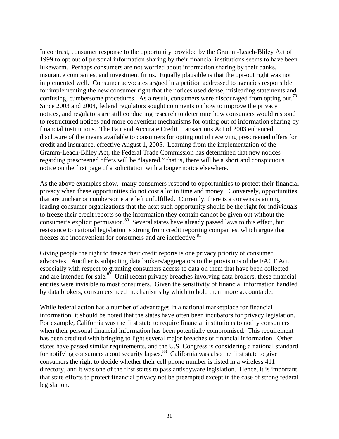In contrast, consumer response to the opportunity provided by the Gramm-Leach-Bliley Act of 1999 to opt out of personal information sharing by their financial institutions seems to have been lukewarm. Perhaps consumers are not worried about information sharing by their banks, insurance companies, and investment firms. Equally plausible is that the opt-out right was not implemented well. Consumer advocates argued in a petition addressed to agencies responsible for implementing the new consumer right that the notices used dense, misleading statements and confusing, cumbersome procedures. As a result, consumers were discouraged from opting out.<sup>79</sup> Since 2003 and 2004, federal regulators sought comments on how to improve the privacy notices, and regulators are still conducting research to determine how consumers would respond to restructured notices and more convenient mechanisms for opting out of information sharing by financial institutions. The Fair and Accurate Credit Transactions Act of 2003 enhanced disclosure of the means available to consumers for opting out of receiving prescreened offers for credit and insurance, effective August 1, 2005. Learning from the implementation of the Gramm-Leach-Bliley Act, the Federal Trade Commission has determined that new notices regarding prescreened offers will be "layered," that is, there will be a short and conspicuous notice on the first page of a solicitation with a longer notice elsewhere.

As the above examples show, many consumers respond to opportunities to protect their financial privacy when these opportunities do not cost a lot in time and money. Conversely, opportunities that are unclear or cumbersome are left unfulfilled. Currently, there is a consensus among leading consumer organizations that the next such opportunity should be the right for individuals to freeze their credit reports so the information they contain cannot be given out without the consumer's explicit permission.<sup>80</sup> Several states have already passed laws to this effect, but resistance to national legislation is strong from credit reporting companies, which argue that freezes are inconvenient for consumers and are ineffective.<sup>81</sup>

Giving people the right to freeze their credit reports is one privacy priority of consumer advocates. Another is subjecting data brokers/aggregators to the provisions of the FACT Act, especially with respect to granting consumers access to data on them that have been collected and are intended for sale.<sup>82</sup> Until recent privacy breaches involving data brokers, these financial entities were invisible to most consumers. Given the sensitivity of financial information handled by data brokers, consumers need mechanisms by which to hold them more accountable.

While federal action has a number of advantages in a national marketplace for financial information, it should be noted that the states have often been incubators for privacy legislation. For example, California was the first state to require financial institutions to notify consumers when their personal financial information has been potentially compromised. This requirement has been credited with bringing to light several major breaches of financial information. Other states have passed similar requirements, and the U.S. Congress is considering a national standard for notifying consumers about security lapses.<sup>83</sup> California was also the first state to give consumers the right to decide whether their cell phone number is listed in a wireless 411 directory, and it was one of the first states to pass antispyware legislation. Hence, it is important that state efforts to protect financial privacy not be preempted except in the case of strong federal legislation.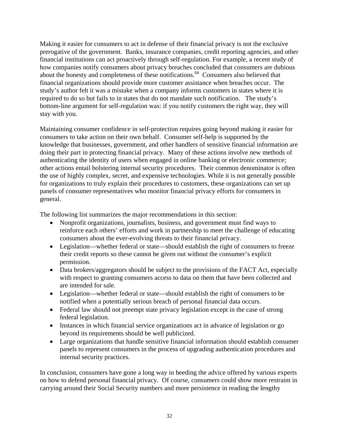Making it easier for consumers to act in defense of their financial privacy is not the exclusive prerogative of the government. Banks, insurance companies, credit reporting agencies, and other financial institutions can act proactively through self-regulation. For example, a recent study of how companies notify consumers about privacy breaches concluded that consumers are dubious about the honesty and completeness of these notifications.<sup>84</sup> Consumers also believed that financial organizations should provide more customer assistance when breaches occur. The study's author felt it was a mistake when a company informs customers in states where it is required to do so but fails to in states that do not mandate such notification. The study's bottom-line argument for self-regulation was: if you notify customers the right way, they will stay with you.

Maintaining consumer confidence in self-protection requires going beyond making it easier for consumers to take action on their own behalf. Consumer self-help is supported by the knowledge that businesses, government, and other handlers of sensitive financial information are doing their part in protecting financial privacy. Many of these actions involve new methods of authenticating the identity of users when engaged in online banking or electronic commerce; other actions entail bolstering internal security procedures. Their common denominator is often the use of highly complex, secret, and expensive technologies. While it is not generally possible for organizations to truly explain their procedures to customers, these organizations can set up panels of consumer representatives who monitor financial privacy efforts for consumers in general.

The following list summarizes the major recommendations in this section:

- Nonprofit organizations, journalists, business, and government must find ways to reinforce each others' efforts and work in partnership to meet the challenge of educating consumers about the ever-evolving threats to their financial privacy.
- Legislation—whether federal or state—should establish the right of consumers to freeze their credit reports so these cannot be given out without the consumer's explicit permission.
- Data brokers/aggregators should be subject to the provisions of the FACT Act, especially with respect to granting consumers access to data on them that have been collected and are intended for sale.
- Legislation—whether federal or state—should establish the right of consumers to be notified when a potentially serious breach of personal financial data occurs.
- Federal law should not preempt state privacy legislation except in the case of strong federal legislation.
- Instances in which financial service organizations act in advance of legislation or go beyond its requirements should be well publicized.
- Large organizations that handle sensitive financial information should establish consumer panels to represent consumers in the process of upgrading authentication procedures and internal security practices.

In conclusion, consumers have gone a long way in heeding the advice offered by various experts on how to defend personal financial privacy. Of course, consumers could show more restraint in carrying around their Social Security numbers and more persistence in reading the lengthy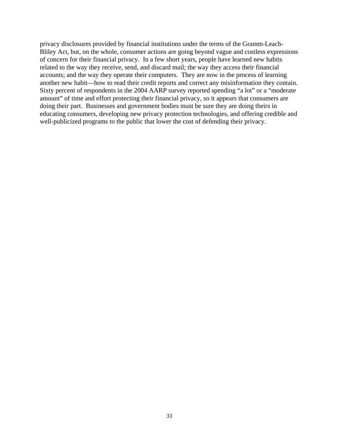privacy disclosures provided by financial institutions under the terms of the Gramm-Leach-Bliley Act, but, on the whole, consumer actions are going beyond vague and costless expressions of concern for their financial privacy. In a few short years, people have learned new habits related to the way they receive, send, and discard mail; the way they access their financial accounts; and the way they operate their computers. They are now in the process of learning another new habit—how to read their credit reports and correct any misinformation they contain. Sixty percent of respondents in the 2004 AARP survey reported spending "a lot" or a "moderate amount" of time and effort protecting their financial privacy, so it appears that consumers are doing their part. Businesses and government bodies must be sure they are doing theirs in educating consumers, developing new privacy protection technologies, and offering credible and well-publicized programs to the public that lower the cost of defending their privacy.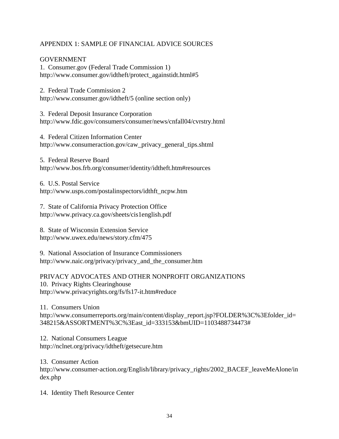## <span id="page-39-0"></span>APPENDIX 1: SAMPLE OF FINANCIAL ADVICE SOURCES

## GOVERNMENT

1. Consumer.gov (Federal Trade Commission 1) http://www.consumer.gov/idtheft/protect\_againstidt.html#5

2. Federal Trade Commission 2

http://www.consumer.gov/idtheft/5 (online section only)

3. Federal Deposit Insurance Corporation http://www.fdic.gov/consumers/consumer/news/cnfall04/cvrstry.html

4. Federal Citizen Information Center http://www.consumeraction.gov/caw\_privacy\_general\_tips.shtml

5. Federal Reserve Board http://www.bos.frb.org/consumer/identity/idtheft.htm#resources

6. U.S. Postal Service http://www.usps.com/postalinspectors/idthft\_ncpw.htm

7. State of California Privacy Protection Office http://www.privacy.ca.gov/sheets/cis1english.pdf

8. State of Wisconsin Extension Service http://www.uwex.edu/news/story.cfm/475

9. National Association of Insurance Commissioners http://www.naic.org/privacy/privacy\_and\_the\_consumer.htm

PRIVACY ADVOCATES AND OTHER NONPROFIT ORGANIZATIONS 10. Privacy Rights Clearinghouse http://www.privacyrights.org/fs/fs17-it.htm#reduce

11. Consumers Union http://www.consumerreports.org/main/content/display\_report.jsp?FOLDER%3C%3Efolder\_id= 348215&ASSORTMENT%3C%3East\_id=333153&bmUID=1103488734473#

12. National Consumers League http://nclnet.org/privacy/idtheft/getsecure.htm

13. Consumer Action http://www.consumer-action.org/English/library/privacy\_rights/2002\_BACEF\_leaveMeAlone/in dex.php

14. Identity Theft Resource Center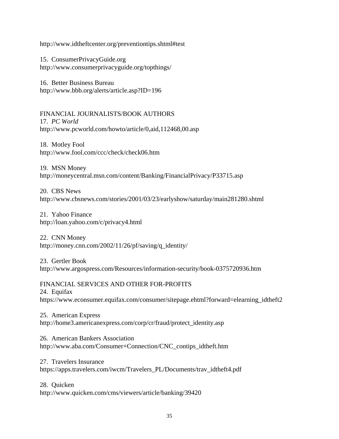http://www.idtheftcenter.org/preventiontips.shtml#test

15. ConsumerPrivacyGuide.org http://www.consumerprivacyguide.org/topthings/

16. Better Business Bureau http://www.bbb.org/alerts/article.asp?ID=196

FINANCIAL JOURNALISTS/BOOK AUTHORS 17. *PC World* http://www.pcworld.com/howto/article/0,aid,112468,00.asp

18. Motley Fool http://www.fool.com/ccc/check/check06.htm

19. MSN Money http://moneycentral.msn.com/content/Banking/FinancialPrivacy/P33715.asp

20. CBS News http://www.cbsnews.com/stories/2001/03/23/earlyshow/saturday/main281280.shtml

21. Yahoo Finance http://loan.yahoo.com/c/privacy4.html

22. CNN Money http://money.cnn.com/2002/11/26/pf/saving/q\_identity/

23. Gertler Book http://www.argospress.com/Resources/information-security/book-0375720936.htm

FINANCIAL SERVICES AND OTHER FOR-PROFITS 24. Equifax https://www.econsumer.equifax.com/consumer/sitepage.ehtml?forward=elearning\_idtheft2

25. American Express http://home3.americanexpress.com/corp/cr/fraud/protect\_identity.asp

26. American Bankers Association http://www.aba.com/Consumer+Connection/CNC\_contips\_idtheft.htm

27. Travelers Insurance https://apps.travelers.com/iwcm/Travelers\_PL/Documents/trav\_idtheft4.pdf

28. Quicken http://www.quicken.com/cms/viewers/article/banking/39420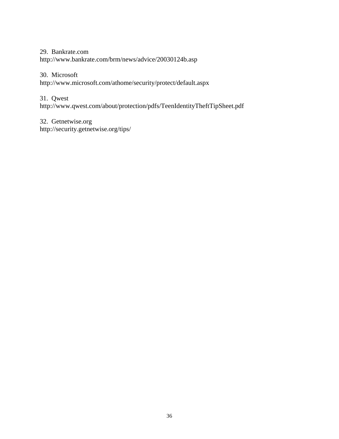29. Bankrate.com

http://www.bankrate.com/brm/news/advice/20030124b.asp

## 30. Microsoft

http://www.microsoft.com/athome/security/protect/default.aspx

## 31. Qwest

http://www.qwest.com/about/protection/pdfs/TeenIdentityTheftTipSheet.pdf

## 32. Getnetwise.org http://security.getnetwise.org/tips/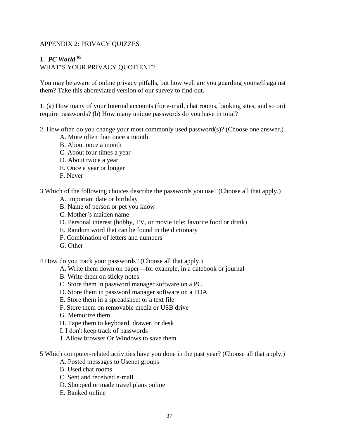## <span id="page-42-0"></span>APPENDIX 2: PRIVACY QUIZZES

# 1.*PC World <sup>85</sup>*

WHAT'S YOUR PRIVACY QUOTIENT?

You may be aware of online privacy pitfalls, but how well are you guarding yourself against them? Take this abbreviated version of our survey to find out.

1. (a) How many of your Internal accounts (for e-mail, chat rooms, banking sites, and so on) require passwords? (b) How many unique passwords do you have in total?

- 2. How often do you change your most commonly used password(s)? (Choose one answer.)
	- A. More often than once a month
	- B. About once a month
	- C. About four times a year
	- D. About twice a year
	- E. Once a year or longer
	- F. Never

3 Which of the following choices describe the passwords you use? (Choose all that apply.)

- A. Important date or birthday
- B. Name of person or pet you know
- C. Mother's maiden name
- D. Personal interest (hobby, TV, or movie title; favorite food or drink)
- E. Random word that can be found in the dictionary
- F. Combination of letters and numbers
- G. Other

4 How do you track your passwords? (Choose all that apply.)

- A. Write them down on paper—for example, in a datebook or journal
- B. Write them on sticky notes
- C. Store them in password manager software on a PC
- D. Store them in password manager software on a PDA
- E. Store them in a spreadsheet or a text file
- F. Store them on removable media or USB drive
- G. Memorize them
- H. Tape them to keyboard, drawer, or desk
- I. I don't keep track of passwords
- J. Allow browser Or Windows to save them
- 5 Which computer-related activities have you done in the past year? (Choose all that apply.)
	- A. Posted messages to Usenet groups
	- B. Used chat rooms
	- C. Sent and received e-mall
	- D. Shopped or made travel plans online
	- E. Banked online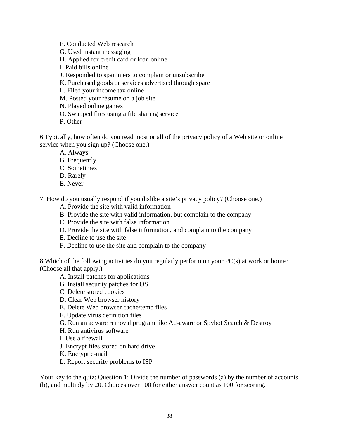- F. Conducted Web research
- G. Used instant messaging
- H. Applied for credit card or loan online
- I. Paid bills online
- J. Responded to spammers to complain or unsubscribe
- K. Purchased goods or services advertised through spare
- L. Filed your income tax online
- M. Posted your résumé on a job site
- N. Played online games
- O. Swapped flies using a file sharing service
- P. Other

6 Typically, how often do you read most or all of the privacy policy of a Web site or online service when you sign up? (Choose one.)

- A. Always
- B. Frequently
- C. Sometimes
- D. Rarely
- E. Never

7. How do you usually respond if you dislike a site's privacy policy? (Choose one.)

- A. Provide the site with valid information
- B. Provide the site with valid information. but complain to the company
- C. Provide the site with false information
- D. Provide the site with false information, and complain to the company
- E. Decline to use the site
- F. Decline to use the site and complain to the company

8 Which of the following activities do you regularly perform on your PC(s) at work or home? (Choose all that apply.)

- A. Install patches for applications
- B. Install security patches for OS
- C. Delete stored cookies
- D. Clear Web browser history
- E. Delete Web browser cache/temp files
- F. Update virus definition files
- G. Run an adware removal program like Ad-aware or Spybot Search & Destroy
- H. Run antivirus software
- I. Use a firewall
- J. Encrypt files stored on hard drive
- K. Encrypt e-mail
- L. Report security problems to ISP

Your key to the quiz: Question 1: Divide the number of passwords (a) by the number of accounts (b), and multiply by 20. Choices over 100 for either answer count as 100 for scoring.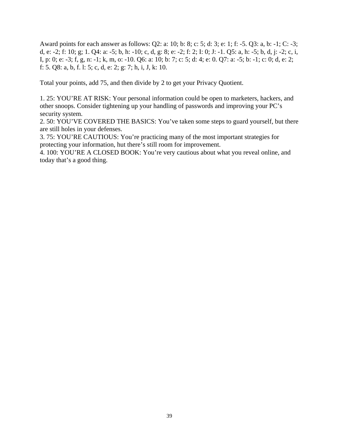Award points for each answer as follows: Q2: a: 10; b: 8; c: 5; d: 3; e: 1; f: -5. Q3: a, b: -1; C: -3; d, e: -2; f: 10; g; 1. Q4: a: -5; b, h: -10; c, d, g: 8; e: -2; f: 2; I: 0; J: -1. Q5: a, h: -5; b, d, j: -2; c, i, I, p: 0; e: -3; f, g, n: -1; k, m, o: -10. Q6: a: 10; b: 7; c: 5; d: 4; e: 0. Q7: a: -5; b: -1; c: 0; d, e: 2; f: 5. Q8: a, b, f. l: 5; c, d, e: 2; g: 7; h, i, J, k: 10.

Total your points, add 75, and then divide by 2 to get your Privacy Quotient.

1. 25: YOU'RE AT RISK: Your personal information could be open to marketers, hackers, and other snoops. Consider tightening up your handling of passwords and improving your PC's security system.

2. 50: YOU'VE COVERED THE BASICS: You've taken some steps to guard yourself, but there are still holes in your defenses.

3. 75: YOU'RE CAUTIOUS: You're practicing many of the most important strategies for protecting your information, hut there's still room for improvement.

4. 100: YOU'RE A CLOSED BOOK: You're very cautious about what you reveal online, and today that's a good thing.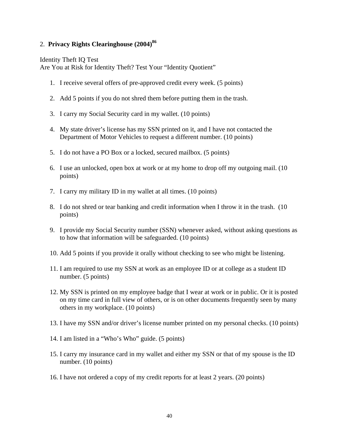## 2. **Privacy Rights Clearinghouse (2004)<sup>86</sup>**

Identity Theft IQ Test

Are You at Risk for Identity Theft? Test Your "Identity Quotient"

- 1. I receive several offers of pre-approved credit every week. (5 points)
- 2. Add 5 points if you do not shred them before putting them in the trash.
- 3. I carry my Social Security card in my wallet. (10 points)
- 4. My state driver's license has my SSN printed on it, and I have not contacted the Department of Motor Vehicles to request a different number. (10 points)
- 5. I do not have a PO Box or a locked, secured mailbox. (5 points)
- 6. I use an unlocked, open box at work or at my home to drop off my outgoing mail. (10 points)
- 7. I carry my military ID in my wallet at all times. (10 points)
- 8. I do not shred or tear banking and credit information when I throw it in the trash. (10 points)
- 9. I provide my Social Security number (SSN) whenever asked, without asking questions as to how that information will be safeguarded. (10 points)
- 10. Add 5 points if you provide it orally without checking to see who might be listening.
- 11. I am required to use my SSN at work as an employee ID or at college as a student ID number. (5 points)
- 12. My SSN is printed on my employee badge that I wear at work or in public. Or it is posted on my time card in full view of others, or is on other documents frequently seen by many others in my workplace. (10 points)
- 13. I have my SSN and/or driver's license number printed on my personal checks. (10 points)
- 14. I am listed in a "Who's Who" guide. (5 points)
- 15. I carry my insurance card in my wallet and either my SSN or that of my spouse is the ID number. (10 points)
- 16. I have not ordered a copy of my credit reports for at least 2 years. (20 points)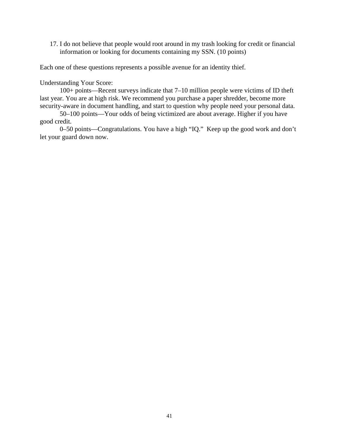17. I do not believe that people would root around in my trash looking for credit or financial information or looking for documents containing my SSN. (10 points)

Each one of these questions represents a possible avenue for an identity thief.

Understanding Your Score:

 100+ points—Recent surveys indicate that 7–10 million people were victims of ID theft last year. You are at high risk. We recommend you purchase a paper shredder, become more security-aware in document handling, and start to question why people need your personal data.

 50–100 points—Your odds of being victimized are about average. Higher if you have good credit.

 0–50 points—Congratulations. You have a high "IQ." Keep up the good work and don't let your guard down now.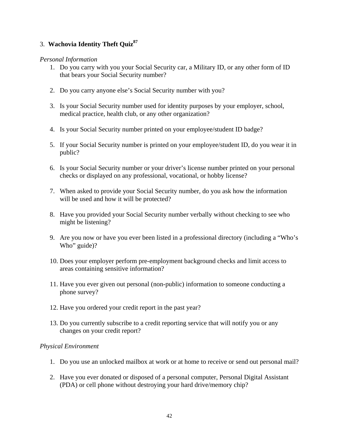## 3. **Wachovia Identity Theft Quiz87**

## *Personal Information*

- 1. Do you carry with you your Social Security car, a Military ID, or any other form of ID that bears your Social Security number?
- 2. Do you carry anyone else's Social Security number with you?
- 3. Is your Social Security number used for identity purposes by your employer, school, medical practice, health club, or any other organization?
- 4. Is your Social Security number printed on your employee/student ID badge?
- 5. If your Social Security number is printed on your employee/student ID, do you wear it in public?
- 6. Is your Social Security number or your driver's license number printed on your personal checks or displayed on any professional, vocational, or hobby license?
- 7. When asked to provide your Social Security number, do you ask how the information will be used and how it will be protected?
- 8. Have you provided your Social Security number verbally without checking to see who might be listening?
- 9. Are you now or have you ever been listed in a professional directory (including a "Who's Who" guide)?
- 10. Does your employer perform pre-employment background checks and limit access to areas containing sensitive information?
- 11. Have you ever given out personal (non-public) information to someone conducting a phone survey?
- 12. Have you ordered your credit report in the past year?
- 13. Do you currently subscribe to a credit reporting service that will notify you or any changes on your credit report?

## *Physical Environment*

- 1. Do you use an unlocked mailbox at work or at home to receive or send out personal mail?
- 2. Have you ever donated or disposed of a personal computer, Personal Digital Assistant (PDA) or cell phone without destroying your hard drive/memory chip?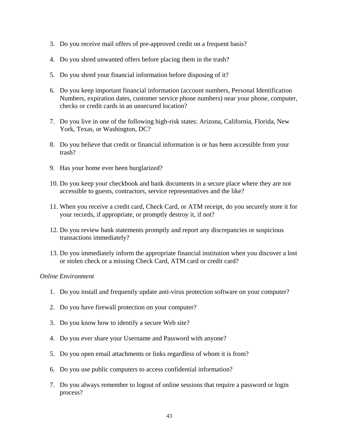- 3. Do you receive mail offers of pre-approved credit on a frequent basis?
- 4. Do you shred unwanted offers before placing them in the trash?
- 5. Do you shred your financial information before disposing of it?
- 6. Do you keep important financial information (account numbers, Personal Identification Numbers, expiration dates, customer service phone numbers) near your phone, computer, checks or credit cards in an unsecured location?
- 7. Do you live in one of the following high-risk states: Arizona, California, Florida, New York, Texas, or Washington, DC?
- 8. Do you believe that credit or financial information is or has been accessible from your trash?
- 9. Has your home ever been burglarized?
- 10. Do you keep your checkbook and bank documents in a secure place where they are not accessible to guests, contractors, service representatives and the like?
- 11. When you receive a credit card, Check Card, or ATM receipt, do you securely store it for your records, if appropriate, or promptly destroy it, if not?
- 12. Do you review bank statements promptly and report any discrepancies or suspicious transactions immediately?
- 13. Do you immediately inform the appropriate financial institution when you discover a lost or stolen check or a missing Check Card, ATM card or credit card?

### *Online Environment*

- 1. Do you install and frequently update anti-virus protection software on your computer?
- 2. Do you have firewall protection on your computer?
- 3. Do you know how to identify a secure Web site?
- 4. Do you ever share your Username and Password with anyone?
- 5. Do you open email attachments or links regardless of whom it is from?
- 6. Do you use public computers to access confidential information?
- 7. Do you always remember to logout of online sessions that require a password or login process?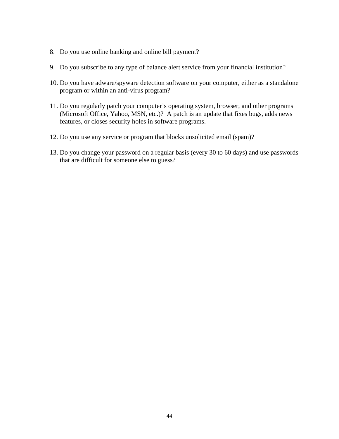- 8. Do you use online banking and online bill payment?
- 9. Do you subscribe to any type of balance alert service from your financial institution?
- 10. Do you have adware/spyware detection software on your computer, either as a standalone program or within an anti-virus program?
- 11. Do you regularly patch your computer's operating system, browser, and other programs (Microsoft Office, Yahoo, MSN, etc.)? A patch is an update that fixes bugs, adds news features, or closes security holes in software programs.
- 12. Do you use any service or program that blocks unsolicited email (spam)?
- 13. Do you change your password on a regular basis (every 30 to 60 days) and use passwords that are difficult for someone else to guess?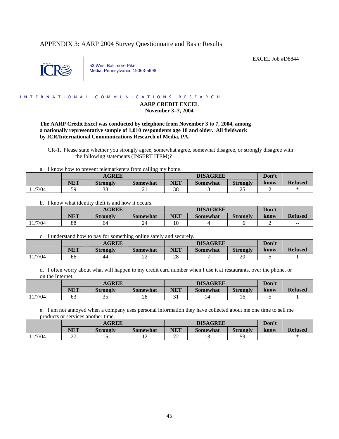### <span id="page-50-0"></span>APPENDIX 3: AARP 2004 Survey Questionnaire and Basic Results



53 West Baltimore Pike Media, Pennsylvania 19063-5698

#### I N T E R N A T I O N A L C O M M U N I C A T I O N S R E S E A R C H

### **AARP CREDIT EXCEL November 3–7, 2004**

EXCEL Job #D8844

### **The AARP Credit Excel was conducted by telephone from November 3 to 7, 2004, among a nationally representative sample of 1,010 respondents age 18 and older. All fieldwork by ICR/International Communications Research of Media, PA.**

 CR-1. Please state whether you strongly agree, somewhat agree, somewhat disagree, or strongly disagree with the following statements (INSERT ITEM)?

a. I know how to prevent telemarketers from calling my home.

|        |            | <b>AGREE</b>    |          | <b>DISAGREE</b>       |          |                 | Don't |                |
|--------|------------|-----------------|----------|-----------------------|----------|-----------------|-------|----------------|
|        | <b>NET</b> | <b>Strongly</b> | Somewhat | NET                   | Somewhat | <b>Strongly</b> | know  | <b>Refused</b> |
| 1/7/04 | 59         | 38              | ∸        | $\overline{2}C$<br>აა |          | ت               |       |                |

b. I know what identity theft is and how it occurs.

|         | <b>AGREE</b> |                 |          | <b>DISAGREE</b> |          |                 | Don't |                |
|---------|--------------|-----------------|----------|-----------------|----------|-----------------|-------|----------------|
|         | NET          | <b>Strongly</b> | Somewhat | NET             | Somewhat | <b>Strongly</b> | know  | <b>Refused</b> |
| 11/7/04 | 88           | 64              | 24       | 10              |          |                 |       | $- -$          |

### c. I understand how to pay for something online safely and securely.

|         | <b>AGREE</b> |                 |                 |                | <b>DISAGREE</b> | Don't           |      |                |
|---------|--------------|-----------------|-----------------|----------------|-----------------|-----------------|------|----------------|
|         | NET          | <b>Strongly</b> | <b>Somewhat</b> | <b>NET</b>     | <b>Somewhat</b> | <b>Strongly</b> | know | <b>Refused</b> |
| 11/7/04 | 66           | 44              | nη<br>∠∠        | $\Omega$<br>40 |                 | 20              |      |                |

d. I often worry about what will happen to my credit card number when I use it at restaurants, over the phone, or on the Internet.

|        | <b>AGREE</b> |                 |          | <b>DISAGREE</b> |          |                 | Don't |                |
|--------|--------------|-----------------|----------|-----------------|----------|-----------------|-------|----------------|
|        | <b>NET</b>   | <b>Strongly</b> | Somewhat | NET             | Somewhat | <b>Strongly</b> | know  | <b>Refused</b> |
| 1/7/04 | ບບ           | $\Omega$<br>ر ر | nα<br>∠c | ັບ 1            |          |                 |       |                |

e. I am not annoyed when a company uses personal information they have collected about me one time to sell me products or services another time.

|        | <b>AGREE</b>       |                 |          | <b>DISAGREE</b>               |          |                 | Don't |                |
|--------|--------------------|-----------------|----------|-------------------------------|----------|-----------------|-------|----------------|
|        | NET                | <b>Strongly</b> | Somewhat | NET                           | Somewhat | <b>Strongly</b> | know  | <b>Refused</b> |
| 1/7/04 | $\sim$<br><u>_</u> | ⊥ J             | . .      | $\overline{\phantom{a}}$<br>∸ |          | 50              |       |                |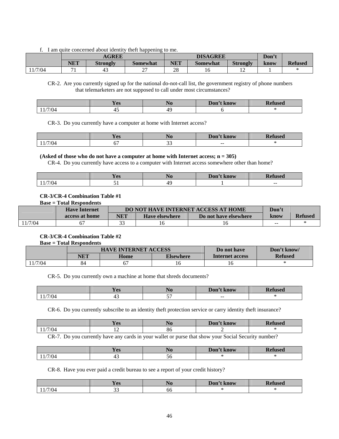f. I am quite concerned about identity theft happening to me.

|        | <b>AGREE</b> |                 |                 | <b>DISAGREE</b> |          |                 | Don't |                |
|--------|--------------|-----------------|-----------------|-----------------|----------|-----------------|-------|----------------|
|        | NET          | <b>Strongly</b> | <b>Somewhat</b> | NET             | Somewhat | <b>Strongly</b> | know  | <b>Refused</b> |
| 1/7/04 |              | -45             | ∼               | 28              | 10       | ∸               |       |                |

 CR-2. Are you currently signed up for the national do-not-call list, the government registry of phone numbers that telemarketers are not supposed to call under most circumstances?

|      | $ -$<br>Voq<br>1 C.S | Don't<br>t know | D.<br>fused<br>wə |
|------|----------------------|-----------------|-------------------|
| 7/04 | г.                   |                 |                   |

CR-3. Do you currently have a computer at home with Internet access?

|      | Voc<br>1 C <sub>2</sub>        | . 1 U    | Don't<br>t know | r<br>tused |
|------|--------------------------------|----------|-----------------|------------|
| 7/04 | $\overline{\phantom{a}}$<br>υ. | ~~<br>-- | $- -$           |            |

**(Asked of those who do not have a computer at home with Internet access; n = 305)** 

CR-4. Do you currently have access to a computer with Internet access somewhere other than home?

|      | $ -$<br>V og<br>1C2 | NU | Don'<br><b>know</b> | $\overline{\phantom{a}}$<br>tused |
|------|---------------------|----|---------------------|-----------------------------------|
| 7/04 |                     | ΛC |                     | $\overline{\phantom{a}}$          |

### **CR-3/CR-4 Combination Table #1**

**Base = Total Respondents** 

|        | <b>Have Internet</b> |        | <b>DO NOT HAVE INTERNET ACCESS AT HOME</b> | Don't                 |               |                |
|--------|----------------------|--------|--------------------------------------------|-----------------------|---------------|----------------|
|        | access at home       | NET    | <b>Have elsewhere</b>                      | Do not have elsewhere | know          | <b>Refused</b> |
| 1/7/04 |                      | $\sim$ |                                            |                       | $\sim$ $\sim$ |                |

### **CR-3/CR-4 Combination Table #2**

**Base = Total Respondents** 

|      |     | <b>HAVE INTERNET ACCESS</b> | Do not have | Don't know      |                |
|------|-----|-----------------------------|-------------|-----------------|----------------|
|      | NET | Home                        | Elsewhere   | Internet access | <b>Refused</b> |
| 7/04 | 04  | ו ס                         |             |                 |                |

CR-5. Do you currently own a machine at home that shreds documents?

|                      | $N$ or<br>1 C.S | w  | $\mathbf{Don}$<br>'t know | <b>Pefuseo</b> |
|----------------------|-----------------|----|---------------------------|----------------|
| 7/04<br>$\mathbf{I}$ | . .             | -- | $- -$                     |                |

CR-6. Do you currently subscribe to an identity theft protection service or carry identity theft insurance?

|                      | <b>Yes</b> |              | Don't know                       | $\mathbf{r}$ $\mathbf{r}$<br>11000<br>ısea |
|----------------------|------------|--------------|----------------------------------|--------------------------------------------|
| $^{\prime}/04$       | --         | ου           |                                  |                                            |
| $\sim$ $\sim$ $\sim$ |            | $\mathbf{u}$ | $\cdot$ $\cdot$ $\sim$<br>$\sim$ |                                            |

CR-7. Do you currently have any cards in your wallet or purse that show your Social Security number?

|       | <b>The Second Second</b><br>Voq<br>1 C.S |    | Don't know | <b>Refused</b> |
|-------|------------------------------------------|----|------------|----------------|
| /7/04 | 45                                       | эо |            |                |

CR-8. Have you ever paid a credit bureau to see a report of your credit history?

|       | $ -$<br><b>Yes</b> | NO | Don't know | <b>lefused</b><br><b>The County</b> |
|-------|--------------------|----|------------|-------------------------------------|
| /7/04 | $\sim$<br>ັ        | ხხ |            |                                     |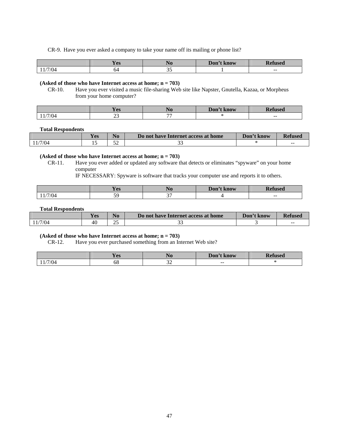CR-9. Have you ever asked a company to take your name off its mailing or phone list?

|        | Y es | $\mathbf{A}$ | Don't know | <b>Pefused</b> |
|--------|------|--------------|------------|----------------|
| 1/7/04 | ገ4   | ◡            |            | $- -$          |

### **(Asked of those who have Internet access at home; n = 703)**

 CR-10. Have you ever visited a music file-sharing Web site like Napster, Gnutella, Kazaa, or Morpheus from your home computer?

|      | <b>Y</b> es       | - -<br>1 TU              | Don't<br>'t know | TD.<br><b>USEC</b> |
|------|-------------------|--------------------------|------------------|--------------------|
| 7/04 | <b>. .</b><br>ر د | $\overline{\phantom{a}}$ |                  | $- -$              |

#### **Total Respondents**

 $\lfloor$ 

 $\mathsf{l}$ 

|         | <b>Yes</b> | $\bf No$ | Do not have Internet access at home | Don't know | <b>Refused</b> |
|---------|------------|----------|-------------------------------------|------------|----------------|
| 11/7/04 |            | ΕΠ       | ັ                                   |            | $- -$          |

### **(Asked of those who have Internet access at home; n = 703)**

 CR-11. Have you ever added or updated any software that detects or eliminates "spyware" on your home computer

IF NECESSARY: Spyware is software that tracks your computer use and reports it to others.

|      | <b>Yes</b>    |               | Don't know | efused |
|------|---------------|---------------|------------|--------|
| 7/04 | $\sim$ $\sim$ | $\sim$ $\sim$ |            | $- -$  |

### **Total Respondents**

|         | $\nabla$ <b>QC</b> | $\bf No$ | Do not have Internet access at home | Don't know | <b>Refused</b> |
|---------|--------------------|----------|-------------------------------------|------------|----------------|
| 11/7/04 | 40                 | ∩ −<br>ت |                                     |            | ---            |

### **(Asked of those who have Internet access at home; n = 703)**

CR-12. Have you ever purchased something from an Internet Web site?

|      | $-7$<br>V na<br>1C2 | - -<br><b>140</b> | Don't l<br>. know        | <b>Refused</b> |
|------|---------------------|-------------------|--------------------------|----------------|
| 7/04 | oð                  | $\sim$<br>- -     | $\overline{\phantom{m}}$ |                |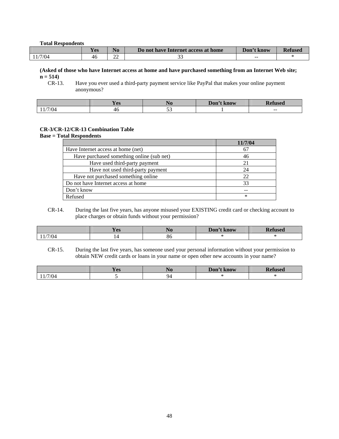#### **Total Respondents**

|        | <b>Yes</b> | N <sub>0</sub> | Do not have Internet access at home | Don't know | <b>Refused</b> |
|--------|------------|----------------|-------------------------------------|------------|----------------|
| 1/7/04 | 46         | $\sim$<br>∼    | --                                  | $- -$      |                |

**(Asked of those who have Internet access at home and have purchased something from an Internet Web site;**   $n = 514$ <br>CR-13.

Have you ever used a third-party payment service like PayPal that makes your online payment anonymous?

|      | $-7$<br>∨∩ຕ<br>T C2 | 110      | Don't<br>t know | TICAC<br>uscu |
|------|---------------------|----------|-----------------|---------------|
| 7/04 | 46                  | <u>-</u> |                 | $- -$         |

### **CR-3/CR-12/CR-13 Combination Table**

**Base = Total Respondents** 

|                                           | 11/7/04 |
|-------------------------------------------|---------|
| Have Internet access at home (net)        | 67      |
| Have purchased something online (sub net) | 46      |
| Have used third-party payment             | 21      |
| Have not used third-party payment         | 24      |
| Have not purchased something online       | 22      |
| Do not have Internet access at home       | 33      |
| Don't know                                | --      |
| Refused                                   | ∗       |

 CR-14. During the last five years, has anyone misused your EXISTING credit card or checking account to place charges or obtain funds without your permission?

|      | $\sqrt{2}$<br>1 C.S | $\mathbf{N}$<br>NU | Don'<br>'t know | tuseo |
|------|---------------------|--------------------|-----------------|-------|
| 7/04 |                     | oυ                 |                 |       |

 CR-15. During the last five years, has someone used your personal information without your permission to obtain NEW credit cards or loans in your name or open other new accounts in your name?

|      | Yes | -10- | Don't<br>. know | <b>Refused</b> |
|------|-----|------|-----------------|----------------|
| 7/04 |     | QZ   |                 |                |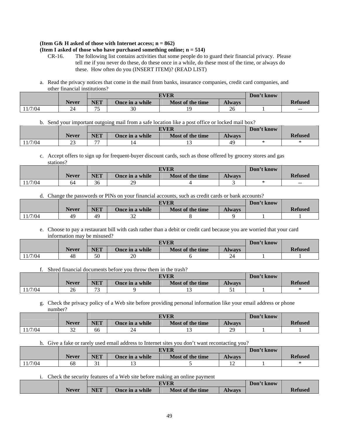#### **(Item G& H asked of those with Internet access; n = 862) (Item I asked of those who have purchased something online; n = 514)**

- CR-16. The following list contains activities that some people do to guard their financial privacy. Please tell me if you never do these, do these once in a while, do these most of the time, or always do these. How often do you (INSERT ITEM)? (READ LIST)
- a. Read the privacy notices that come in the mail from banks, insurance companies, credit card companies, and other financial institutions?

|        |              |            | <b>EVER</b>            | Don't know       |               |  |                |
|--------|--------------|------------|------------------------|------------------|---------------|--|----------------|
|        | <b>Never</b> | <b>NET</b> | <b>Once in a while</b> | Most of the time | <b>Always</b> |  | <b>Refused</b> |
| 1/7/04 | 24<br>- -    | ה ר        | 30                     | ۱C               | ΖO            |  | $- -$          |

### b. Send your important outgoing mail from a safe location like a post office or locked mail box?

|         |              |                          | <b>EVER</b>            | Don't know       |               |  |                |
|---------|--------------|--------------------------|------------------------|------------------|---------------|--|----------------|
|         | <b>Never</b> | <b>NET</b>               | <b>Once in a while</b> | Most of the time | <b>Always</b> |  | <b>Refused</b> |
| 11/7/04 | ت            | $\overline{\phantom{a}}$ |                        | ⊥ J              |               |  |                |

### c. Accept offers to sign up for frequent-buyer discount cards, such as those offered by grocery stores and gas stations?

|        |              |            | <b>EVER</b>            | Don't know       |               |  |                |
|--------|--------------|------------|------------------------|------------------|---------------|--|----------------|
|        | <b>Never</b> | <b>NET</b> | <b>Once in a while</b> | Most of the time | <b>Always</b> |  | <b>Refused</b> |
| 1/7/04 | 64           | 36         | 29<br>رے               |                  |               |  | $- -$          |

### d. Change the passwords or PINs on your financial accounts, such as credit cards or bank accounts?

|         |              |            | <b>EVER</b>            | Don't know       |               |  |                |
|---------|--------------|------------|------------------------|------------------|---------------|--|----------------|
|         | <b>Never</b> | <b>NET</b> | <b>Once in a while</b> | Most of the time | <b>Always</b> |  | <b>Refused</b> |
| 11/7/04 | $40^{\circ}$ | 49         | ے ر                    |                  |               |  |                |

### e. Choose to pay a restaurant bill with cash rather than a debit or credit card because you are worried that your card information may be misused?

|         |              |            | <b>EVER</b>     | Don't know       |               |  |                |
|---------|--------------|------------|-----------------|------------------|---------------|--|----------------|
|         | <b>Never</b> | <b>NET</b> | Once in a while | Most of the time | <b>Always</b> |  | <b>Refused</b> |
| 11/7/04 | 48           | 50         | 20              |                  | 24            |  |                |

### f. Shred financial documents before you throw them in the trash?

|         |              |                               | <b>EVER</b>     | Don't know       |               |  |                |
|---------|--------------|-------------------------------|-----------------|------------------|---------------|--|----------------|
|         | <b>Never</b> | <b>NET</b>                    | Once in a while | Most of the time | <b>Always</b> |  | <b>Refused</b> |
| 11/7/04 | $\sim$<br>20 | $\overline{\phantom{a}}$<br>ຼ |                 |                  | ັ             |  |                |

### g. Check the privacy policy of a Web site before providing personal information like your email address or phone number?

|         |              |     | <b>EVER</b>     | Don't know       |               |  |                |
|---------|--------------|-----|-----------------|------------------|---------------|--|----------------|
|         | <b>Never</b> | NET | Once in a while | Most of the time | <b>Always</b> |  | <b>Refused</b> |
| 11/7/04 | ے ر          | 66  | 44              |                  | ററ<br>ر ب     |  |                |

### h. Give a fake or rarely used email address to Internet sites you don't want recontacting you?

|         |              |     | <b>EVER</b>     | Don't know       |               |  |                |
|---------|--------------|-----|-----------------|------------------|---------------|--|----------------|
|         | <b>Never</b> | NET | Once in a while | Most of the time | <b>Always</b> |  | <b>Refused</b> |
| 11/7/04 | oð           |     | . .             |                  | ∸             |  |                |

### i. Check the security features of a Web site before making an online payment

|              |                    |                 | <b>TVER</b>      |               | Don't know |                |
|--------------|--------------------|-----------------|------------------|---------------|------------|----------------|
| <b>Never</b> | NIET<br><b>NET</b> | Once in a while | Most of the time | <b>Always</b> |            | <b>Refused</b> |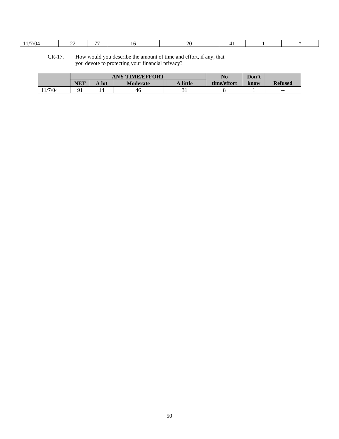| $CR-17$ . | How would you describe the amount of time and effort, if any, that |
|-----------|--------------------------------------------------------------------|
|           | you devote to protecting your financial privacy?                   |

|        | <b>ANY TIME/EFFORT</b> |       |                 |          | No          | Don't |                |
|--------|------------------------|-------|-----------------|----------|-------------|-------|----------------|
|        | <b>NET</b>             | A lot | <b>Moderate</b> | A little | time/effort | know  | <b>Refused</b> |
| 1/7/04 |                        | 14    | 46              |          |             |       | $\sim$ $\sim$  |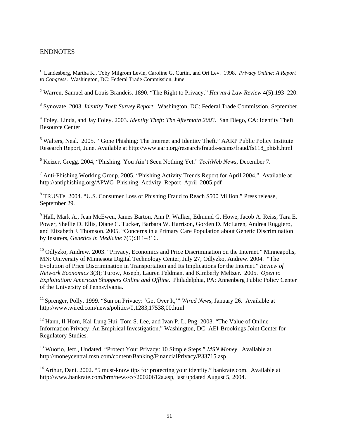## <span id="page-56-0"></span>ENDNOTES

2 Warren, Samuel and Louis Brandeis. 1890. "The Right to Privacy." *Harvard Law Review* 4(5):193–220.

3 Synovate. 2003. *Identity Theft Survey Report*. Washington, DC: Federal Trade Commission, September.

4 Foley, Linda, and Jay Foley. 2003. *Identity Theft: The Aftermath 2003*. San Diego, CA: Identity Theft Resource Center

<sup>5</sup> Walters, Neal. 2005. "Gone Phishing: The Internet and Identity Theft." AARP Public Policy Institute Research Report, June. Available at http://www.aarp.org/research/frauds-scams/fraud/fs118\_phish.html

6 Keizer, Gregg. 2004, "Phishing: You Ain't Seen Nothing Yet." *TechWeb News*, December 7.

<sup>7</sup> Anti-Phishing Working Group. 2005. "Phishing Activity Trends Report for April 2004." Available at http://antiphishing.org/APWG\_Phishing\_Activity\_Report\_April\_2005.pdf

<sup>8</sup> TRUSTe. 2004. "U.S. Consumer Loss of Phishing Fraud to Reach \$500 Million." Press release, September 29.

9 Hall, Mark A., Jean McEwen, James Barton, Ann P. Walker, Edmund G. Howe, Jacob A. Reiss, Tara E. Power, Shellie D. Ellis, Diane C. Tucker, Barbara W. Harrison, Gorden D. McLaren, Andrea Ruggiero, and Elizabeth J. Thomson. 2005. "Concerns in a Primary Care Population about Genetic Discrimination by Insurers, *Genetics in Medicine* 7(5):311–316.

<sup>10</sup> Odlyzko, Andrew. 2003. "Privacy, Economics and Price Discrimination on the Internet." Minneapolis, MN: University of Minnesota Digital Technology Center, July 27; Odlyzko, Andrew. 2004. "The Evolution of Price Discrimination in Transportation and Its Implications for the Internet." *Review of Network Economics* 3(3); Turow, Joseph, Lauren Feldman, and Kimberly Meltzer. 2005. *Open to Exploitation: American Shoppers Online and Offline*. Philadelphia, PA: Annenberg Public Policy Center of the University of Pennsylvania.

<sup>11</sup> Sprenger, Polly. 1999. "Sun on Privacy: 'Get Over It,'" *Wired News*, January 26. Available at http://www.wired.com/news/politics/0,1283,17538,00.html

<sup>12</sup> Hann, Il-Horn, Kai-Lung Hui, Tom S. Lee, and Ivan P. L. Png. 2003. "The Value of Online Information Privacy: An Empirical Investigation." Washington, DC: AEI-Brookings Joint Center for Regulatory Studies.

13 Wuorio, Jeff., Undated. "Protect Your Privacy: 10 Simple Steps." *MSN Money*. Available at http://moneycentral.msn.com/content/Banking/FinancialPrivacy/P33715.asp

 $14$  Arthur, Dani. 2002. "5 must-know tips for protecting your identity." bankrate.com. Available at http://www.bankrate.com/brm/news/cc/20020612a.asp, last updated August 5, 2004.

 $\overline{a}$ <sup>1</sup> Landesberg, Martha K., Toby Milgrom Levin, Caroline G. Curtin, and Ori Lev. 1998. Privacy Online: A Report *to Congress*. Washington, DC: Federal Trade Commission, June.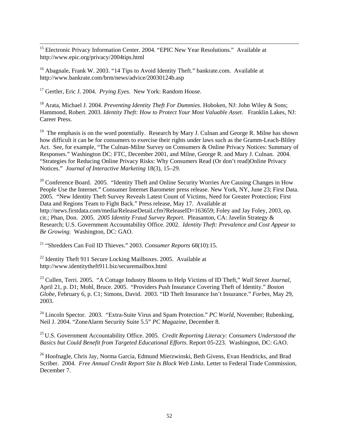<sup>15</sup> Electronic Privacy Information Center. 2004. "EPIC New Year Resolutions." Available at http://www.epic.org/privacy/2004tips.html

<sup>16</sup> Abagnale, Frank W. 2003. "14 Tips to Avoid Identity Theft." bankrate.com. Available at http://www.bankrate.com/brm/news/advice/20030124b.asp

17 Gertler, Eric J. 2004. *Prying Eyes*. New York: Random House.

18 Arata, Michael J. 2004. *Preventing Identity Theft For Dummies*. Hoboken, NJ: John Wiley & Sons; Hammond, Robert. 2003. *Identity Theft: How to Protect Your Most Valuable Asset*. Franklin Lakes, NJ: Career Press.

<sup>19</sup> The emphasis is on the word potentially. Research by Mary J. Culnan and George R. Milne has shown how difficult it can be for consumers to exercise their rights under laws such as the Gramm-Leach-Bliley Act. See, for example, "The Culnan-Milne Survey on Consumers & Online Privacy Notices: Summary of Responses." Washington DC: FTC, December 2001, and Milne, George R. and Mary J. Culnan. 2004. "Strategies for Reducing Online Privacy Risks: Why Consumers Read (Or don't read)Online Privacy Notices." *Journal of Interactive Marketing* 18(3), 15–29.

 $20$  Conference Board. 2005. "Identity Theft and Online Security Worries Are Causing Changes in How People Use the Internet." Consumer Internet Barometer press release. New York, NY, June 23; First Data. 2005. "New Identity Theft Survey Reveals Latest Count of Victims, Need for Greater Protection; First Data and Regions Team to Fight Back." Press release, May 17. Available at http://news.firstdata.com/media/ReleaseDetail.cfm?ReleaseID=163659; Foley and Jay Foley, 2003, op. cit.; Phan, Don. 2005. *2005 Identity Fraud Survey Report*. Pleasanton, CA: Javelin Strategy & Research; U.S. Government Accountability Office. 2002. *Identity Theft: Prevalence and Cost Appear to Be Growing*. Washington, DC: GAO.

21 "Shredders Can Foil ID Thieves." 2003. *Consumer Reports* 68(10):15.

 $22$  Identity Theft 911 Secure Locking Mailboxes. 2005. Available at http://www.identitytheft911.biz/securemailbox.html

23 Cullen, Terri. 2005. "A Cottage Industry Blooms to Help Victims of ID Theft," *Wall Street Journal*, April 21, p. D1; Mohl, Bruce. 2005. "Providers Push Insurance Covering Theft of Identity." *Boston Globe*, February 6, p. C1; Simons, David. 2003. "ID Theft Insurance Isn't Insurance." *Forbes*, May 29, 2003.

<sup>24</sup> Lincoln Spector. 2003. "Extra-Suite Virus and Spam Protection." *PC World*, November; Rubenking, Neil J. 2004. "ZoneAlarm Security Suite 5.5" *PC Magazine*, December 8.

25 U.S. Government Accountability Office. 2005. *Credit Reporting Literacy: Consumers Understood the Basics but Could Benefit from Targeted Educational Efforts*. Report 05-223. Washington, DC: GAO.

<sup>26</sup> Hoofnagle, Chris Jay, Norma Garcia, Edmund Mierzwinski, Beth Givens, Evan Hendricks, and Brad Scriber. 2004. *Free Annual Credit Report Site Is Block Web Links*. Letter to Federal Trade Commission, December 7.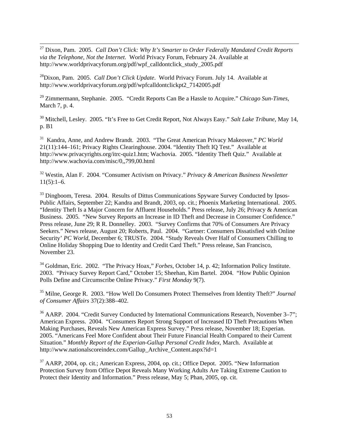27 Dixon, Pam. 2005. *Call Don't Click: Why It's Smarter to Order Federally Mandated Credit Reports via the Telephone, Not the Internet*. World Privacy Forum, February 24. Available at http://www.worldprivacyforum.org/pdf/wpf\_calldontclick\_study\_2005.pdf

28Dixon, Pam. 2005. *Call Don't Click Update*. World Privacy Forum. July 14. Available at http://www.worldprivacyforum.org/pdf/wpfcalldontclickpt2\_7142005.pdf

29 Zimmermann, Stephanie. 2005. "Credit Reports Can Be a Hassle to Acquire." *Chicago Sun-Times*, March 7, p. 4.

30 Mitchell, Lesley. 2005. "It's Free to Get Credit Report, Not Always Easy." *Salt Lake Tribune*, May 14, p. B1

31 Kandra, Anne, and Andrew Brandt. 2003. "The Great American Privacy Makeover," *PC World* 21(11):144–161; Privacy Rights Clearinghouse. 2004. "Identity Theft IQ Test." Available at http://www.privacyrights.org/itrc-quiz1.htm; Wachovia. 2005. "Identity Theft Quiz." Available at http://www.wachovia.com/misc/0,,799,00.html

32 Westin, Alan F. 2004. "Consumer Activism on Privacy." *Privacy & American Business Newsletter*  $11(5):1-6.$ 

<sup>33</sup> Dingboom, Teresa. 2004. Results of Dittus Communications Spyware Survey Conducted by Ipsos-Public Affairs, September 22; Kandra and Brandt, 2003, op. cit.; Phoenix Marketing International. 2005. "Identity Theft Is a Major Concern for Affluent Households." Press release, July 26; Privacy & American Business. 2005. "New Survey Reports an Increase in ID Theft and Decrease in Consumer Confidence." Press release, June 29; R R. Donnelley. 2003. "Survey Confirms that 70% of Consumers Are Privacy Seekers." News release, August 20; Roberts, Paul. 2004. "Gartner: Consumers Dissatisfied with Online Security' *PC World*, December 6; TRUSTe. 2004. "Study Reveals Over Half of Consumers Chilling to Online Holiday Shopping Due to Identity and Credit Card Theft." Press release, San Francisco, November 23.

34 Goldman, Eric. 2002. "The Privacy Hoax," *Forbes*, October 14, p. 42; Information Policy Institute. 2003. "Privacy Survey Report Card," October 15; Sheehan, Kim Bartel. 2004. "How Public Opinion Polls Define and Circumscribe Online Privacy." *First Monday* 9(7).

35 Milne, George R. 2003. "How Well Do Consumers Protect Themselves from Identity Theft?" *Journal of Consumer Affairs* 37(2):388–402.

<sup>36</sup> AARP. 2004. "Credit Survey Conducted by International Communications Research, November 3–7"; American Express. 2004. "Consumers Report Strong Support of Increased ID Theft Precautions When Making Purchases, Reveals New American Express Survey." Press release, November 18; Experian. 2005. "Americans Feel More Confident about Their Future Financial Health Compared to their Current Situation." *Monthly Report of the Experian-Gallup Personal Credit Index*, March. Available at http://www.nationalscoreindex.com/Gallup\_Archive\_Content.aspx?id=1

 $37$  AARP, 2004, op. cit.; American Express, 2004, op. cit.; Office Depot. 2005. "New Information Protection Survey from Office Depot Reveals Many Working Adults Are Taking Extreme Caution to Protect their Identity and Information." Press release, May 5; Phan, 2005, op. cit.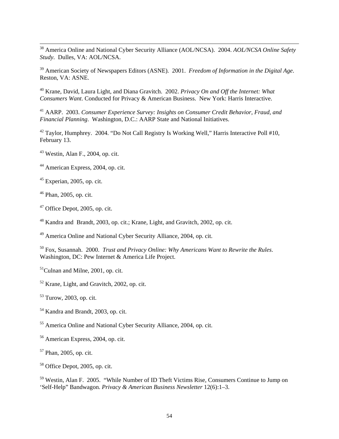38 America Online and National Cyber Security Alliance (AOL/NCSA). 2004. *AOL/NCSA Online Safety Study*. Dulles, VA: AOL/NCSA.

39 American Society of Newspapers Editors (ASNE). 2001. *Freedom of Information in the Digital Age*. Reston, VA: ASNE.

40 Krane, David, Laura Light, and Diana Gravitch. 2002. *Privacy On and Off the Internet: What Consumers Want*. Conducted for Privacy & American Business. New York: Harris Interactive.

41 AARP. 2003. *Consumer Experience Survey: Insights on Consumer Credit Behavior, Fraud, and Financial Planning*. Washington, D.C.: AARP State and National Initiatives.

 $42$  Taylor, Humphrey. 2004. "Do Not Call Registry Is Working Well," Harris Interactive Poll #10, February 13.

43 Westin, Alan F., 2004, op. cit.

44 American Express, 2004, op. cit.

 $45$  Experian, 2005, op. cit.

46 Phan, 2005, op. cit.

 $47$  Office Depot, 2005, op. cit.

48 Kandra and Brandt, 2003, op. cit.; Krane, Light, and Gravitch, 2002, op. cit.

49 America Online and National Cyber Security Alliance, 2004, op. cit.

50 Fox, Susannah. 2000. *Trust and Privacy Online: Why Americans Want to Rewrite the Rules*. Washington, DC: Pew Internet & America Life Project.

 $<sup>51</sup>Culnan and Milne, 2001, op. cit.$ </sup>

52 Krane, Light, and Gravitch, 2002, op. cit.

53 Turow, 2003, op. cit.

54 Kandra and Brandt, 2003, op. cit.

55 America Online and National Cyber Security Alliance, 2004, op. cit.

56 American Express, 2004, op. cit.

57 Phan, 2005, op. cit.

58 Office Depot, 2005, op. cit.

59 Westin, Alan F. 2005. "While Number of ID Theft Victims Rise, Consumers Continue to Jump on 'Self-Help" Bandwagon. *Privacy & American Business Newsletter* 12(6):1–3.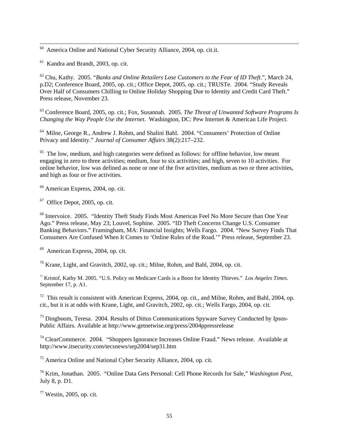$60$  America Online and National Cyber Security Alliance, 2004, op. cit.it.

61 Kandra and Brandt, 2003, op. cit*.*

62 Chu, Kathy. 2005. "*Banks and Online Retailers Lose Customers to the Fear of ID Theft*.", March 24, p.D2; Conference Board, 2005, op. cit.; Office Depot, 2005, op. cit.; TRUSTe. 2004. "Study Reveals Over Half of Consumers Chilling to Online Holiday Shopping Due to Identity and Credit Card Theft." Press release, November 23.

63 Conference Board, 2005, op. cit.; Fox, Susannah. 2005. *The Threat of Unwanted Software Programs Is Changing the Way People Use the Internet*. Washington, DC: Pew Internet & American Life Project.

<sup>64</sup> Milne, George R., Andrew J. Rohm, and Shalini Bahl. 2004. "Consumers' Protection of Online Privacy and Identity." *Journal of Consumer Affairs* 38(2):217–232.

 $65$  The low, medium, and high categories were defined as follows: for offline behavior, low meant engaging in zero to three activities; medium, four to six activities; and high, seven to 10 activities. For online behavior, low was defined as none or one of the five activities, medium as two or three activities, and high as four or five activities.

66 American Express, 2004, op. cit.

 $67$  Office Depot, 2005, op. cit.

<sup>68</sup> Intervoice. 2005. "Identity Theft Study Finds Most Americas Feel No More Secure than One Year Ago." Press release, May 23; Louvel, Sophine. 2005. "ID Theft Concerns Change U.S. Consumer Banking Behaviors." Framingham, MA: Financial Insights; Wells Fargo. 2004. "New Survey Finds That Consumers Are Confused When It Comes to 'Online Rules of the Road.'" Press release, September 23.

69 American Express, 2004, op. cit.

70 Krane, Light, and Gravitch, 2002, op. cit.; Milne, Rohm, and Bahl, 2004, op. cit.

71 Kristof, Kathy M. 2005. "U.S. Policy on Medicare Cards is a Boon for Identity Thieves." *Los Angeles Times*. September 17, p. A1.

72 This result is consistent with American Express, 2004, op. cit*.,* and Milne, Rohm, and Bahl, 2004, op. cit., but it is at odds with Krane, Light, and Gravitch, 2002, op. cit*.*; Wells Fargo, 2004, op. cit*.*

<sup>73</sup> Dingboom, Teresa. 2004. Results of Dittus Communications Spyware Survey Conducted by Ipsos-Public Affairs. Available at http://www.getnetwise.org/press/2004ppressrelease

 $74$  ClearCommerce. 2004. "Shoppers Ignorance Increases Online Fraud." News release. Available at http://www.itsecurity.com/tecsnews/sep2004/sep31.htm

75 America Online and National Cyber Security Alliance, 2004, op. cit*.*

76 Krim, Jonathan. 2005. "Online Data Gets Personal: Cell Phone Records for Sale," *Washington Post*, July 8, p. D1.

77 Westin, 2005, op. cit*.*